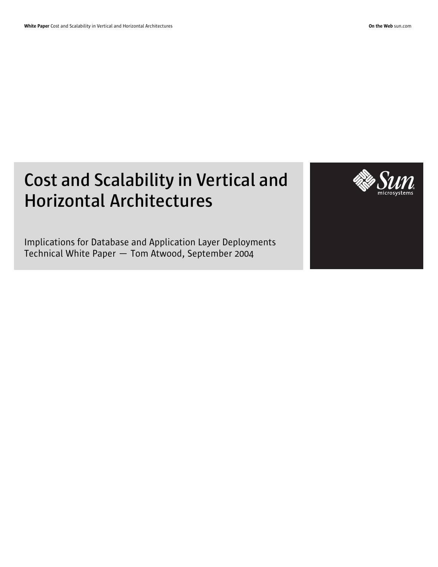# **Cost and Scalability in Vertical and Horizontal Architectures**

Implications for Database and Application Layer Deployments Technical White Paper — Tom Atwood, September 2004

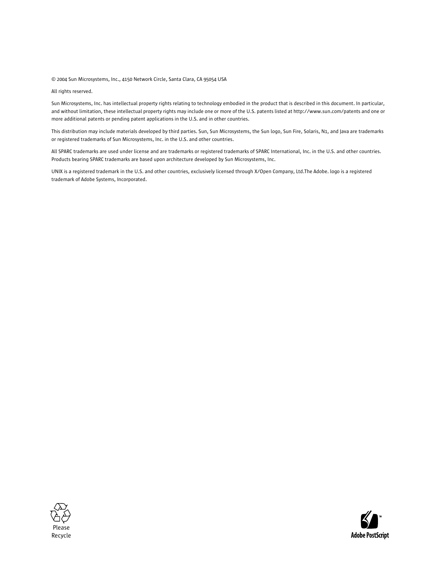#### © 2004 Sun Microsystems, Inc., 4150 Network Circle, Santa Clara, CA 95054 USA

#### All rights reserved.

Sun Microsystems, Inc. has intellectual property rights relating to technology embodied in the product that is described in this document. In particular, and without limitation, these intellectual property rights may include one or more of the U.S. patents listed at http://www.sun.com/patents and one or more additional patents or pending patent applications in the U.S. and in other countries.

This distribution may include materials developed by third parties. Sun, Sun Microsystems, the Sun logo, Sun Fire, Solaris, N1, and Java are trademarks or registered trademarks of Sun Microsystems, Inc. in the U.S. and other countries.

All SPARC trademarks are used under license and are trademarks or registered trademarks of SPARC International, Inc. in the U.S. and other countries. Products bearing SPARC trademarks are based upon architecture developed by Sun Microsystems, Inc.

UNIX is a registered trademark in the U.S. and other countries, exclusively licensed through X/Open Company, Ltd.The Adobe. logo is a registered trademark of Adobe Systems, Incorporated.



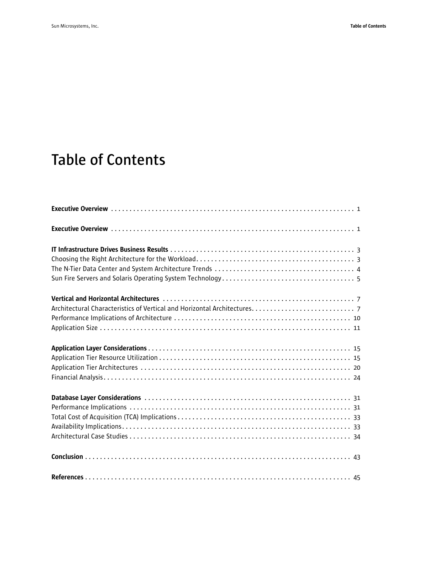# **Table of Contents**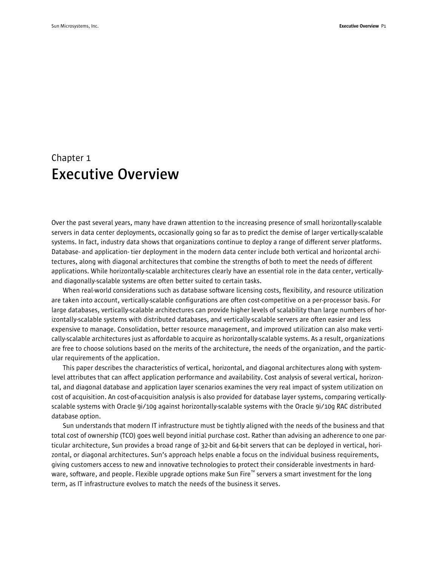## Chapter 1 **Executive Overview**

Over the past several years, many have drawn attention to the increasing presence of small horizontally-scalable servers in data center deployments, occasionally going so far as to predict the demise of larger vertically-scalable systems. In fact, industry data shows that organizations continue to deploy a range of different server platforms. Database- and application- tier deployment in the modern data center include both vertical and horizontal architectures, along with diagonal architectures that combine the strengths of both to meet the needs of different applications. While horizontally-scalable architectures clearly have an essential role in the data center, verticallyand diagonally-scalable systems are often better suited to certain tasks.

When real-world considerations such as database software licensing costs, flexibility, and resource utilization are taken into account, vertically-scalable configurations are often cost-competitive on a per-processor basis. For large databases, vertically-scalable architectures can provide higher levels of scalability than large numbers of horizontally-scalable systems with distributed databases, and vertically-scalable servers are often easier and less expensive to manage. Consolidation, better resource management, and improved utilization can also make vertically-scalable architectures just as affordable to acquire as horizontally-scalable systems. As a result, organizations are free to choose solutions based on the merits of the architecture, the needs of the organization, and the particular requirements of the application.

This paper describes the characteristics of vertical, horizontal, and diagonal architectures along with systemlevel attributes that can affect application performance and availability. Cost analysis of several vertical, horizontal, and diagonal database and application layer scenarios examines the very real impact of system utilization on cost of acquisition. An cost-of-acquisition analysis is also provided for database layer systems, comparing verticallyscalable systems with Oracle 9i/10g against horizontally-scalable systems with the Oracle 9i/10g RAC distributed database option.

Sun understands that modern IT infrastructure must be tightly aligned with the needs of the business and that total cost of ownership (TCO) goes well beyond initial purchase cost. Rather than advising an adherence to one particular architecture, Sun provides a broad range of 32-bit and 64-bit servers that can be deployed in vertical, horizontal, or diagonal architectures. Sun's approach helps enable a focus on the individual business requirements, giving customers access to new and innovative technologies to protect their considerable investments in hardware, software, and people. Flexible upgrade options make Sun Fire™ servers a smart investment for the long term, as IT infrastructure evolves to match the needs of the business it serves.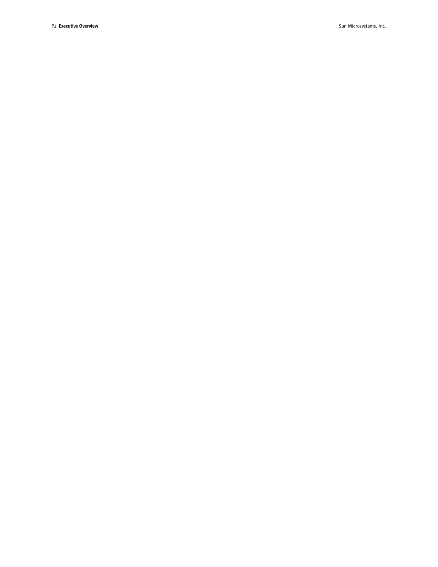P2 Executive Overview Sun Microsystems, Inc.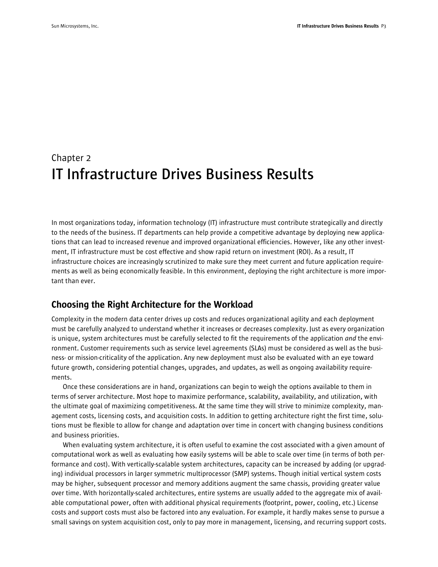# Chapter 2 **IT Infrastructure Drives Business Results**

In most organizations today, information technology (IT) infrastructure must contribute strategically and directly to the needs of the business. IT departments can help provide a competitive advantage by deploying new applications that can lead to increased revenue and improved organizational efficiencies. However, like any other investment, IT infrastructure must be cost effective and show rapid return on investment (ROI). As a result, IT infrastructure choices are increasingly scrutinized to make sure they meet current and future application requirements as well as being economically feasible. In this environment, deploying the right architecture is more important than ever.

## Choosing the Right Architecture for the Workload

Complexity in the modern data center drives up costs and reduces organizational agility and each deployment must be carefully analyzed to understand whether it increases or decreases complexity. Just as every organization is unique, system architectures must be carefully selected to fit the requirements of the application *and* the environment. Customer requirements such as service level agreements (SLAs) must be considered as well as the business- or mission-criticality of the application. Any new deployment must also be evaluated with an eye toward future growth, considering potential changes, upgrades, and updates, as well as ongoing availability requirements.

Once these considerations are in hand, organizations can begin to weigh the options available to them in terms of server architecture. Most hope to maximize performance, scalability, availability, and utilization, with the ultimate goal of maximizing competitiveness. At the same time they will strive to minimize complexity, management costs, licensing costs, and acquisition costs. In addition to getting architecture right the first time, solutions must be flexible to allow for change and adaptation over time in concert with changing business conditions and business priorities.

When evaluating system architecture, it is often useful to examine the cost associated with a given amount of computational work as well as evaluating how easily systems will be able to scale over time (in terms of both performance and cost). With vertically-scalable system architectures, capacity can be increased by adding (or upgrading) individual processors in larger symmetric multiprocessor (SMP) systems. Though initial vertical system costs may be higher, subsequent processor and memory additions augment the same chassis, providing greater value over time. With horizontally-scaled architectures, entire systems are usually added to the aggregate mix of available computational power, often with additional physical requirements (footprint, power, cooling, etc.) License costs and support costs must also be factored into any evaluation. For example, it hardly makes sense to pursue a small savings on system acquisition cost, only to pay more in management, licensing, and recurring support costs.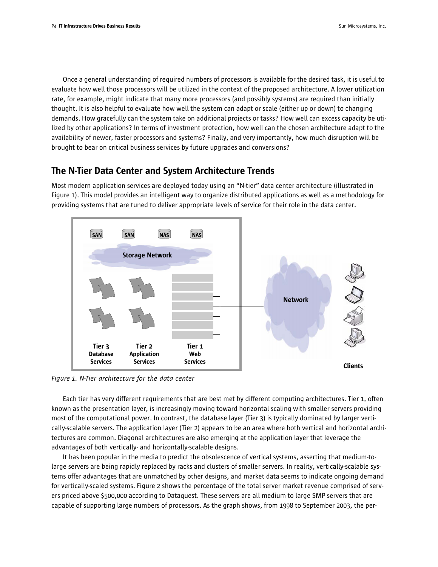Once a general understanding of required numbers of processors is available for the desired task, it is useful to evaluate how well those processors will be utilized in the context of the proposed architecture. A lower utilization rate, for example, might indicate that many more processors (and possibly systems) are required than initially thought. It is also helpful to evaluate how well the system can adapt or scale (either up or down) to changing demands. How gracefully can the system take on additional projects or tasks? How well can excess capacity be utilized by other applications? In terms of investment protection, how well can the chosen architecture adapt to the availability of newer, faster processors and systems? Finally, and very importantly, how much disruption will be brought to bear on critical business services by future upgrades and conversions?

## The N-Tier Data Center and System Architecture Trends

Most modern application services are deployed today using an "N-tier" data center architecture (illustrated in Figure 1). This model provides an intelligent way to organize distributed applications as well as a methodology for providing systems that are tuned to deliver appropriate levels of service for their role in the data center.



*Figure 1. N-Tier architecture for the data center*

Each tier has very different requirements that are best met by different computing architectures. Tier 1, often known as the presentation layer, is increasingly moving toward horizontal scaling with smaller servers providing most of the computational power. In contrast, the database layer (Tier 3) is typically dominated by larger vertically-scalable servers. The application layer (Tier 2) appears to be an area where both vertical and horizontal architectures are common. Diagonal architectures are also emerging at the application layer that leverage the advantages of both vertically- and horizontally-scalable designs.

It has been popular in the media to predict the obsolescence of vertical systems, asserting that medium-tolarge servers are being rapidly replaced by racks and clusters of smaller servers. In reality, vertically-scalable systems offer advantages that are unmatched by other designs, and market data seems to indicate ongoing demand for vertically-scaled systems. Figure 2 shows the percentage of the total server market revenue comprised of servers priced above \$500,000 according to Dataquest. These servers are all medium to large SMP servers that are capable of supporting large numbers of processors. As the graph shows, from 1998 to September 2003, the per-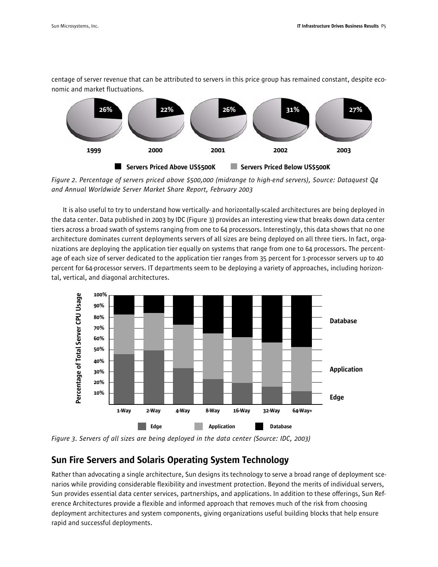

centage of server revenue that can be attributed to servers in this price group has remained constant, despite economic and market fluctuations.

*Figure 2. Percentage of servers priced above \$500,000 (midrange to high-end servers), Source: Dataquest Q4 and Annual Worldwide Server Market Share Report, February 2003*

It is also useful to try to understand how vertically- and horizontally-scaled architectures are being deployed in the data center. Data published in 2003 by IDC (Figure 3) provides an interesting view that breaks down data center tiers across a broad swath of systems ranging from one to 64 processors. Interestingly, this data shows that no one architecture dominates current deployments servers of all sizes are being deployed on all three tiers. In fact, organizations are deploying the application tier equally on systems that range from one to 64 processors. The percentage of each size of server dedicated to the application tier ranges from 35 percent for 1-processor servers up to 40 percent for 64-processor servers. IT departments seem to be deploying a variety of approaches, including horizontal, vertical, and diagonal architectures.



*Figure 3. Servers of all sizes are being deployed in the data center (Source: IDC, 2003)*

## Sun Fire Servers and Solaris Operating System Technology

Rather than advocating a single architecture, Sun designs its technology to serve a broad range of deployment scenarios while providing considerable flexibility and investment protection. Beyond the merits of individual servers, Sun provides essential data center services, partnerships, and applications. In addition to these offerings, Sun Reference Architectures provide a flexible and informed approach that removes much of the risk from choosing deployment architectures and system components, giving organizations useful building blocks that help ensure rapid and successful deployments.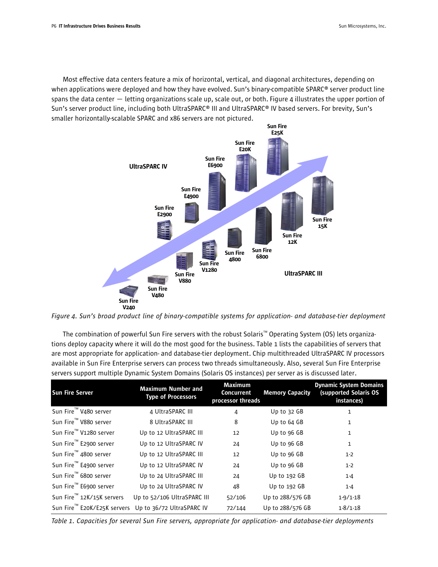Most effective data centers feature a mix of horizontal, vertical, and diagonal architectures, depending on when applications were deployed and how they have evolved. Sun's binary-compatible SPARC<sup>®</sup> server product line spans the data center  $-$  letting organizations scale up, scale out, or both. Figure 4 illustrates the upper portion of Sun's server product line, including both UltraSPARC® III and UltraSPARC® IV based servers. For brevity, Sun's smaller horizontally-scalable SPARC and x86 servers are not pictured.



*Figure 4. Sun's broad product line of binary-compatible systems for application- and database-tier deployment*

The combination of powerful Sun Fire servers with the robust Solaris™ Operating System (OS) lets organizations deploy capacity where it will do the most good for the business. Table 1 lists the capabilities of servers that are most appropriate for application- and database-tier deployment. Chip multithreaded UltraSPARC IV processors available in Sun Fire Enterprise servers can process two threads simultaneously. Also, several Sun Fire Enterprise servers support multiple Dynamic System Domains (Solaris OS instances) per server as is discussed later.

| <b>Sun Fire Server</b>                   | <b>Maximum Number and</b><br><b>Type of Processors</b> | Maximum<br>Concurrent<br>processor threads | <b>Memory Capacity</b> | <b>Dynamic System Domains</b><br>(supported Solaris OS<br>instances) |
|------------------------------------------|--------------------------------------------------------|--------------------------------------------|------------------------|----------------------------------------------------------------------|
| Sun Fire <sup>™</sup> V480 server        | 4 UltraSPARC III                                       | 4                                          | Up to 32 GB            | 1                                                                    |
| Sun Fire <sup>™</sup> V880 server        | 8 UltraSPARC III                                       | 8                                          | Up to 64 GB            | 1                                                                    |
| Sun Fire™ V1280 server                   | Up to 12 UltraSPARC III                                | 12                                         | Up to 96 GB            | 1                                                                    |
| Sun Fire <sup>™</sup> E2900 server       | Up to 12 UltraSPARC IV                                 | 24                                         | Up to 96 GB            | 1                                                                    |
| Sun Fire <sup>™</sup> 4800 server        | Up to 12 UltraSPARC III                                | 12                                         | Up to 96 GB            | $1 - 2$                                                              |
| Sun Fire <sup>™</sup> E4900 server       | Up to 12 UltraSPARC IV                                 | 24                                         | Up to 96 GB            | $1 - 2$                                                              |
| Sun Fire™ 6800 server                    | Up to 24 UltraSPARC III                                | 24                                         | Up to 192 GB           | $1 - 4$                                                              |
| Sun Fire <sup>™</sup> E6900 server       | Up to 24 UltraSPARC IV                                 | 48                                         | Up to 192 GB           | $1 - 4$                                                              |
| Sun Fire <sup>™</sup> 12K/15K servers    | Up to 52/106 UltraSPARC III                            | 52/106                                     | Up to 288/576 GB       | $1 - 9/1 - 18$                                                       |
| Sun Fire <sup>16</sup> E20K/E25K servers | Up to 36/72 UltraSPARC IV                              | 72/144                                     | Up to 288/576 GB       | $1 - 8/1 - 18$                                                       |

*Table 1. Capacities for several Sun Fire servers, appropriate for application- and database-tier deployments*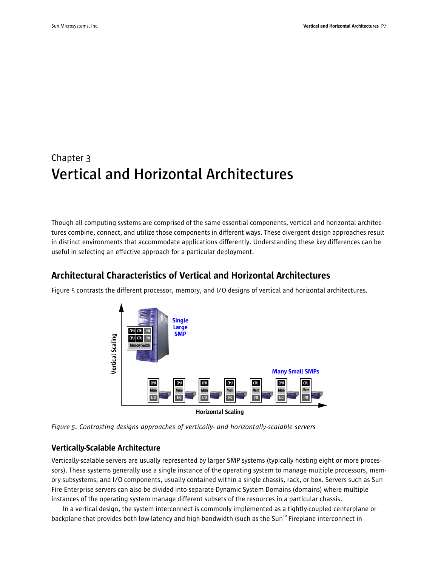# Chapter 3 **Vertical and Horizontal Architectures**

Though all computing systems are comprised of the same essential components, vertical and horizontal architectures combine, connect, and utilize those components in different ways. These divergent design approaches result in distinct environments that accommodate applications differently. Understanding these key differences can be useful in selecting an effective approach for a particular deployment.

## Architectural Characteristics of Vertical and Horizontal Architectures

Figure 5 contrasts the different processor, memory, and I/O designs of vertical and horizontal architectures.



*Figure 5. Contrasting designs approaches of vertically- and horizontally-scalable servers*

## Vertically-Scalable Architecture

Vertically-scalable servers are usually represented by larger SMP systems (typically hosting eight or more processors). These systems generally use a single instance of the operating system to manage multiple processors, memory subsystems, and I/O components, usually contained within a single chassis, rack, or box. Servers such as Sun Fire Enterprise servers can also be divided into separate Dynamic System Domains (domains) where multiple instances of the operating system manage different subsets of the resources in a particular chassis.

In a vertical design, the system interconnect is commonly implemented as a tightly-coupled centerplane or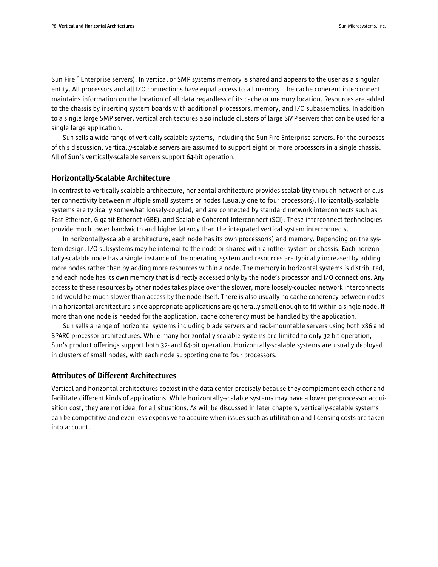Sun Fire™ Enterprise servers). In vertical or SMP systems memory is shared and appears to the user as a singular entity. All processors and all I/O connections have equal access to all memory. The cache coherent interconnect maintains information on the location of all data regardless of its cache or memory location. Resources are added to the chassis by inserting system boards with additional processors, memory, and I/O subassemblies. In addition to a single large SMP server, vertical architectures also include clusters of large SMP servers that can be used for a single large application.

Sun sells a wide range of vertically-scalable systems, including the Sun Fire Enterprise servers. For the purposes of this discussion, vertically-scalable servers are assumed to support eight or more processors in a single chassis. All of Sun's vertically-scalable servers support 64-bit operation.

#### Horizontally-Scalable Architecture

In contrast to vertically-scalable architecture, horizontal architecture provides scalability through network or cluster connectivity between multiple small systems or nodes (usually one to four processors). Horizontally-scalable systems are typically somewhat loosely-coupled, and are connected by standard network interconnects such as Fast Ethernet, Gigabit Ethernet (GBE), and Scalable Coherent Interconnect (SCI). These interconnect technologies provide much lower bandwidth and higher latency than the integrated vertical system interconnects.

In horizontally-scalable architecture, each node has its own processor(s) and memory. Depending on the system design, I/O subsystems may be internal to the node or shared with another system or chassis. Each horizontally-scalable node has a single instance of the operating system and resources are typically increased by adding more nodes rather than by adding more resources within a node. The memory in horizontal systems is distributed, and each node has its own memory that is directly accessed only by the node's processor and I/O connections. Any access to these resources by other nodes takes place over the slower, more loosely-coupled network interconnects and would be much slower than access by the node itself. There is also usually no cache coherency between nodes in a horizontal architecture since appropriate applications are generally small enough to fit within a single node. If more than one node is needed for the application, cache coherency must be handled by the application.

Sun sells a range of horizontal systems including blade servers and rack-mountable servers using both x86 and SPARC processor architectures. While many horizontally-scalable systems are limited to only 32-bit operation, Sun's product offerings support both 32- and 64-bit operation. Horizontally-scalable systems are usually deployed in clusters of small nodes, with each node supporting one to four processors.

#### Attributes of Different Architectures

Vertical and horizontal architectures coexist in the data center precisely because they complement each other and facilitate different kinds of applications. While horizontally-scalable systems may have a lower per-processor acquisition cost, they are not ideal for all situations. As will be discussed in later chapters, vertically-scalable systems can be competitive and even less expensive to acquire when issues such as utilization and licensing costs are taken into account.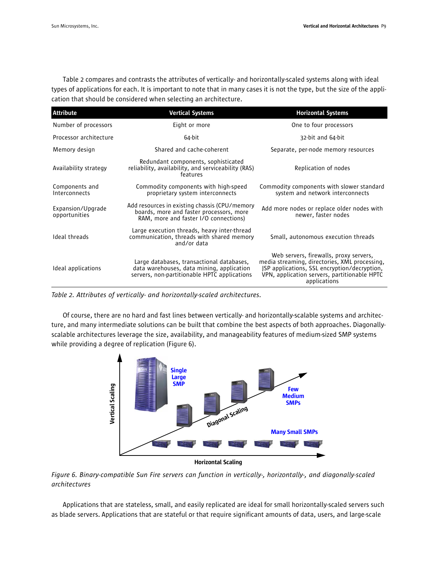Table 2 compares and contrasts the attributes of vertically- and horizontally-scaled systems along with ideal types of applications for each. It is important to note that in many cases it is not the type, but the size of the application that should be considered when selecting an architecture.

| <b>Attribute</b>                   | <b>Vertical Systems</b>                                                                                                                | <b>Horizontal Systems</b>                                                                                                                                                                               |
|------------------------------------|----------------------------------------------------------------------------------------------------------------------------------------|---------------------------------------------------------------------------------------------------------------------------------------------------------------------------------------------------------|
| Number of processors               | Eight or more                                                                                                                          | One to four processors                                                                                                                                                                                  |
| Processor architecture             | 64-bit                                                                                                                                 | 32-bit and 64-bit                                                                                                                                                                                       |
| Memory design                      | Shared and cache-coherent                                                                                                              | Separate, per-node memory resources                                                                                                                                                                     |
| Availability strategy              | Redundant components, sophisticated<br>reliability, availability, and serviceability (RAS)<br>features                                 | Replication of nodes                                                                                                                                                                                    |
| Components and<br>Interconnects    | Commodity components with high-speed<br>proprietary system interconnects                                                               | Commodity components with slower standard<br>system and network interconnects                                                                                                                           |
| Expansion/Upgrade<br>opportunities | Add resources in existing chassis (CPU/memory<br>boards, more and faster processors, more<br>RAM, more and faster I/O connections)     | Add more nodes or replace older nodes with<br>newer, faster nodes                                                                                                                                       |
| Ideal threads                      | Large execution threads, heavy inter-thread<br>communication, threads with shared memory<br>and/or data                                | Small, autonomous execution threads                                                                                                                                                                     |
| Ideal applications                 | Large databases, transactional databases,<br>data warehouses, data mining, application<br>servers, non-partitionable HPTC applications | Web servers, firewalls, proxy servers,<br>media streaming, directories, XML processing,<br>JSP applications, SSL encryption/decryption,<br>VPN, application servers, partitionable HPTC<br>applications |

*Table 2. Attributes of vertically- and horizontally-scaled architectures.*

Of course, there are no hard and fast lines between vertically- and horizontally-scalable systems and architecture, and many intermediate solutions can be built that combine the best aspects of both approaches. Diagonallyscalable architectures leverage the size, availability, and manageability features of medium-sized SMP systems while providing a degree of replication (Figure 6).



#### Horizontal Scaling



Applications that are stateless, small, and easily replicated are ideal for small horizontally-scaled servers such as blade servers. Applications that are stateful or that require significant amounts of data, users, and large-scale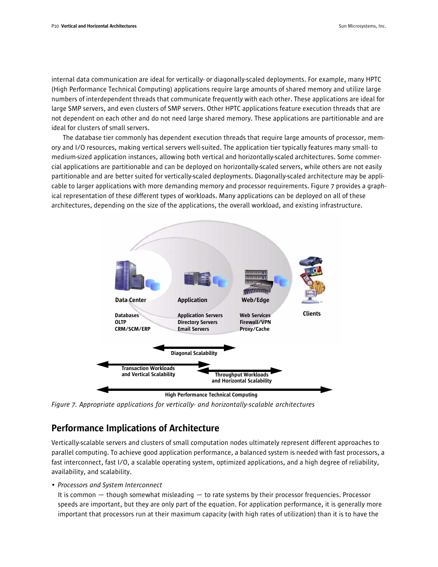internal data communication are ideal for vertically- or diagonally-scaled deployments. For example, many HPTC (High Performance Technical Computing) applications require large amounts of shared memory and utilize large numbers of interdependent threads that communicate frequently with each other. These applications are ideal for large SMP servers, and even clusters of SMP servers. Other HPTC applications feature execution threads that are not dependent on each other and do not need large shared memory. These applications are partitionable and are ideal for clusters of small servers.

The database tier commonly has dependent execution threads that require large amounts of processor, memory and I/O resources, making vertical servers well-suited. The application tier typically features many small- to medium-sized application instances, allowing both vertical and horizontally-scaled architectures. Some commercial applications are partitionable and can be deployed on horizontally-scaled servers, while others are not easily partitionable and are better suited for vertically-scaled deployments. Diagonally-scaled architecture may be applicable to larger applications with more demanding memory and processor requirements. Figure 7 provides a graphical representation of these different types of workloads. Many applications can be deployed on all of these architectures, depending on the size of the applications, the overall workload, and existing infrastructure.



*Figure 7. Appropriate applications for vertically- and horizontally-scalable architectures*

## Performance Implications of Architecture

Vertically-scalable servers and clusters of small computation nodes ultimately represent different approaches to parallel computing. To achieve good application performance, a balanced system is needed with fast processors, a fast interconnect, fast I/O, a scalable operating system, optimized applications, and a high degree of reliability, availability, and scalability.

*• Processors and System Interconnect*

It is common — though somewhat misleading — to rate systems by their processor frequencies. Processor speeds are important, but they are only part of the equation. For application performance, it is generally more important that processors run at their maximum capacity (with high rates of utilization) than it is to have the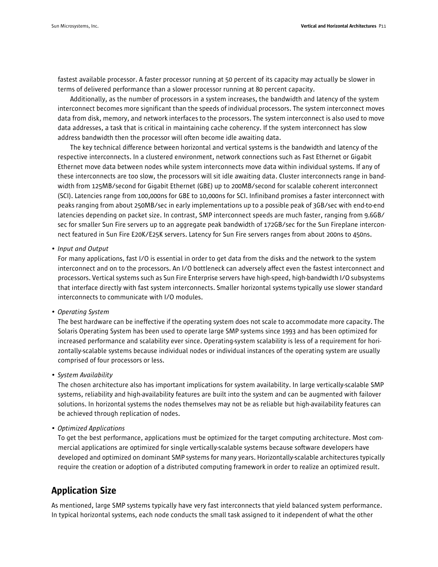fastest available processor. A faster processor running at 50 percent of its capacity may actually be slower in terms of delivered performance than a slower processor running at 80 percent capacity.

Additionally, as the number of processors in a system increases, the bandwidth and latency of the system interconnect becomes more significant than the speeds of individual processors. The system interconnect moves data from disk, memory, and network interfaces to the processors. The system interconnect is also used to move data addresses, a task that is critical in maintaining cache coherency. If the system interconnect has slow address bandwidth then the processor will often become idle awaiting data.

The key technical difference between horizontal and vertical systems is the bandwidth and latency of the respective interconnects. In a clustered environment, network connections such as Fast Ethernet or Gigabit Ethernet move data between nodes while system interconnects move data within individual systems. If any of these interconnects are too slow, the processors will sit idle awaiting data. Cluster interconnects range in bandwidth from 125MB/second for Gigabit Ethernet (GBE) up to 200MB/second for scalable coherent interconnect (SCI). Latencies range from 100,000ns for GBE to 10,000ns for SCI. Infiniband promises a faster interconnect with peaks ranging from about 250MB/sec in early implementations up to a possible peak of 3GB/sec with end-to-end latencies depending on packet size. In contrast, SMP interconnect speeds are much faster, ranging from 9.6GB/ sec for smaller Sun Fire servers up to an aggregate peak bandwidth of 172GB/sec for the Sun Fireplane interconnect featured in Sun Fire E20K/E25K servers. Latency for Sun Fire servers ranges from about 200ns to 450ns.

#### *• Input and Output*

For many applications, fast I/O is essential in order to get data from the disks and the network to the system interconnect and on to the processors. An I/O bottleneck can adversely affect even the fastest interconnect and processors. Vertical systems such as Sun Fire Enterprise servers have high-speed, high-bandwidth I/O subsystems that interface directly with fast system interconnects. Smaller horizontal systems typically use slower standard interconnects to communicate with I/O modules.

*• Operating System*

The best hardware can be ineffective if the operating system does not scale to accommodate more capacity. The Solaris Operating System has been used to operate large SMP systems since 1993 and has been optimized for increased performance and scalability ever since. Operating-system scalability is less of a requirement for horizontally-scalable systems because individual nodes or individual instances of the operating system are usually comprised of four processors or less.

*• System Availability*

The chosen architecture also has important implications for system availability. In large vertically-scalable SMP systems, reliability and high-availability features are built into the system and can be augmented with failover solutions. In horizontal systems the nodes themselves may not be as reliable but high-availability features can be achieved through replication of nodes.

*• Optimized Applications*

To get the best performance, applications must be optimized for the target computing architecture. Most commercial applications are optimized for single vertically-scalable systems because software developers have developed and optimized on dominant SMP systems for many years. Horizontally-scalable architectures typically require the creation or adoption of a distributed computing framework in order to realize an optimized result.

## Application Size

As mentioned, large SMP systems typically have very fast interconnects that yield balanced system performance. In typical horizontal systems, each node conducts the small task assigned to it independent of what the other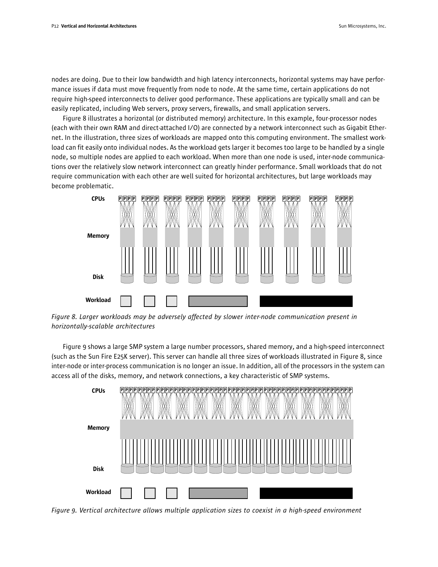nodes are doing. Due to their low bandwidth and high latency interconnects, horizontal systems may have performance issues if data must move frequently from node to node. At the same time, certain applications do not require high-speed interconnects to deliver good performance. These applications are typically small and can be easily replicated, including Web servers, proxy servers, firewalls, and small application servers.

Figure 8 illustrates a horizontal (or distributed memory) architecture. In this example, four-processor nodes (each with their own RAM and direct-attached I/O) are connected by a network interconnect such as Gigabit Ethernet. In the illustration, three sizes of workloads are mapped onto this computing environment. The smallest workload can fit easily onto individual nodes. As the workload gets larger it becomes too large to be handled by a single node, so multiple nodes are applied to each workload. When more than one node is used, inter-node communications over the relatively slow network interconnect can greatly hinder performance. Small workloads that do not require communication with each other are well suited for horizontal architectures, but large workloads may become problematic.



*Figure 8. Larger workloads may be adversely affected by slower inter-node communication present in horizontally-scalable architectures*

Figure 9 shows a large SMP system a large number processors, shared memory, and a high-speed interconnect (such as the Sun Fire E25K server). This server can handle all three sizes of workloads illustrated in Figure 8, since inter-node or inter-process communication is no longer an issue. In addition, all of the processors in the system can access all of the disks, memory, and network connections, a key characteristic of SMP systems.



*Figure 9. Vertical architecture allows multiple application sizes to coexist in a high-speed environment*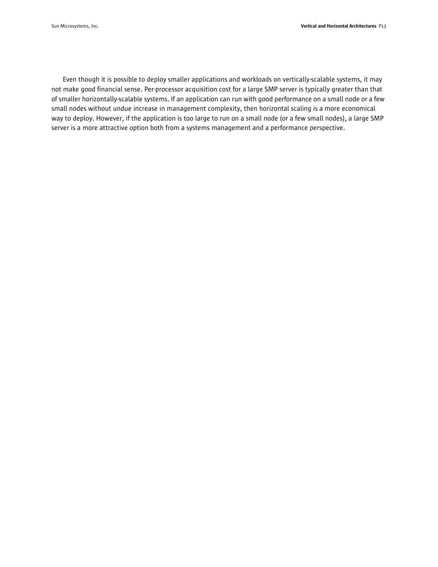Even though it is possible to deploy smaller applications and workloads on vertically-scalable systems, it may not make good financial sense. Per-processor acquisition cost for a large SMP server is typically greater than that of smaller horizontally-scalable systems. If an application can run with good performance on a small node or a few small nodes without undue increase in management complexity, then horizontal scaling is a more economical way to deploy. However, if the application is too large to run on a small node (or a few small nodes), a large SMP server is a more attractive option both from a systems management and a performance perspective.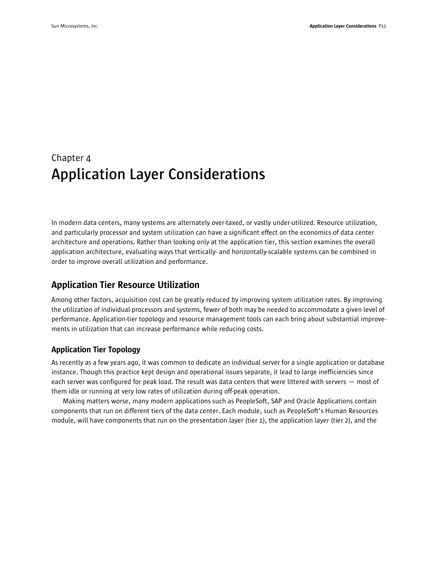# Chapter 4 **Application Layer Considerations**

In modern data centers, many systems are alternately over-taxed, or vastly under-utilized. Resource utilization, and particularly processor and system utilization can have a significant effect on the economics of data center architecture and operations. Rather than looking only at the application tier, this section examines the overall application architecture, evaluating ways that vertically- and horizontally-scalable systems can be combined in order to improve overall utilization and performance.

## Application Tier Resource Utilization

Among other factors, acquisition cost can be greatly reduced by improving system utilization rates. By improving the utilization of individual processors and systems, fewer of both may be needed to accommodate a given level of performance. Application-tier topology and resource management tools can each bring about substantial improvements in utilization that can increase performance while reducing costs.

## Application Tier Topology

As recently as a few years ago, it was common to dedicate an individual server for a single application or database instance. Though this practice kept design and operational issues separate, it lead to large inefficiencies since each server was configured for peak load. The result was data centers that were littered with servers — most of them idle or running at very low rates of utilization during off-peak operation.

Making matters worse, many modern applications such as PeopleSoft, SAP and Oracle Applications contain components that run on different tiers of the data center. Each module, such as PeopleSoft's Human Resources module, will have components that run on the presentation layer (tier 1), the application layer (tier 2), and the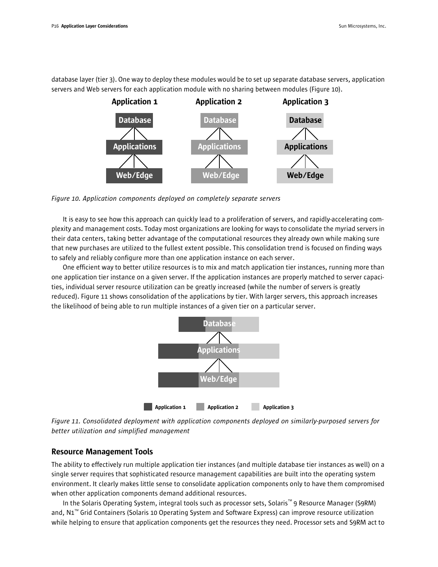database layer (tier 3). One way to deploy these modules would be to set up separate database servers, application servers and Web servers for each application module with no sharing between modules (Figure 10).



*Figure 10. Application components deployed on completely separate servers*

It is easy to see how this approach can quickly lead to a proliferation of servers, and rapidly-accelerating complexity and management costs. Today most organizations are looking for ways to consolidate the myriad servers in their data centers, taking better advantage of the computational resources they already own while making sure that new purchases are utilized to the fullest extent possible. This consolidation trend is focused on finding ways to safely and reliably configure more than one application instance on each server.

One efficient way to better utilize resources is to mix and match application tier instances, running more than one application tier instance on a given server. If the application instances are properly matched to server capacities, individual server resource utilization can be greatly increased (while the number of servers is greatly reduced). Figure 11 shows consolidation of the applications by tier. With larger servers, this approach increases the likelihood of being able to run multiple instances of a given tier on a particular server.



*Figure 11. Consolidated deployment with application components deployed on similarly-purposed servers for better utilization and simplified management*

#### Resource Management Tools

The ability to effectively run multiple application tier instances (and multiple database tier instances as well) on a single server requires that sophisticated resource management capabilities are built into the operating system environment. It clearly makes little sense to consolidate application components only to have them compromised when other application components demand additional resources.

In the Solaris Operating System, integral tools such as processor sets, Solaris™ 9 Resource Manager (S9RM) and, N1™ Grid Containers (Solaris 10 Operating System and Software Express) can improve resource utilization while helping to ensure that application components get the resources they need. Processor sets and S9RM act to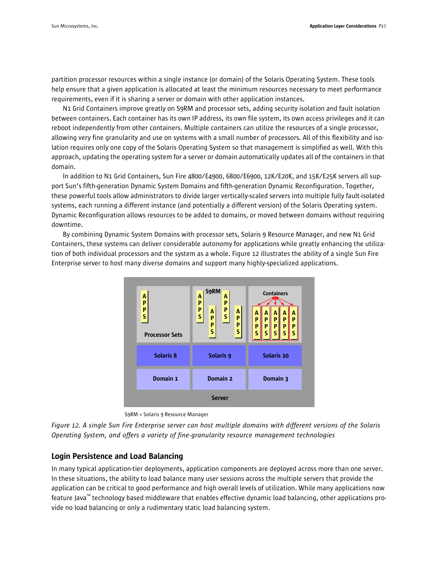partition processor resources within a single instance (or domain) of the Solaris Operating System. These tools help ensure that a given application is allocated at least the minimum resources necessary to meet performance requirements, even if it is sharing a server or domain with other application instances.

N1 Grid Containers improve greatly on S9RM and processor sets, adding security isolation and fault isolation between containers. Each container has its own IP address, its own file system, its own access privileges and it can reboot independently from other containers. Multiple containers can utilize the resources of a single processor, allowing very fine granularity and use on systems with a small number of processors. All of this flexibility and isolation requires only one copy of the Solaris Operating System so that management is simplified as well. With this approach, updating the operating system for a server or domain automatically updates all of the containers in that domain.

In addition to N1 Grid Containers, Sun Fire 4800/E4900, 6800/E6900, 12K/E20K, and 15K/E25K servers all support Sun's fifth-generation Dynamic System Domains and fifth-generation Dynamic Reconfiguration. Together, these powerful tools allow administrators to divide larger vertically-scaled servers into multiple fully fault-isolated systems, each running a different instance (and potentially a different version) of the Solaris Operating system. Dynamic Reconfiguration allows resources to be added to domains, or moved between domains without requiring downtime.

By combining Dynamic System Domains with processor sets, Solaris 9 Resource Manager, and new N1 Grid Containers, these systems can deliver considerable autonomy for applications while greatly enhancing the utilization of both individual processors and the system as a whole. Figure 12 illustrates the ability of a single Sun Fire Enterprise server to host many diverse domains and support many highly-specialized applications.



S9RM = Solaris 9 Resource Manager

*Figure 12. A single Sun Fire Enterprise server can host multiple domains with different versions of the Solaris Operating System, and offers a variety of fine-granularity resource management technologies*

#### Login Persistence and Load Balancing

In many typical application-tier deployments, application components are deployed across more than one server. In these situations, the ability to load balance many user sessions across the multiple servers that provide the application can be critical to good performance and high overall levels of utilization. While many applications now feature Java™ technology based middleware that enables effective dynamic load balancing, other applications provide no load balancing or only a rudimentary static load balancing system.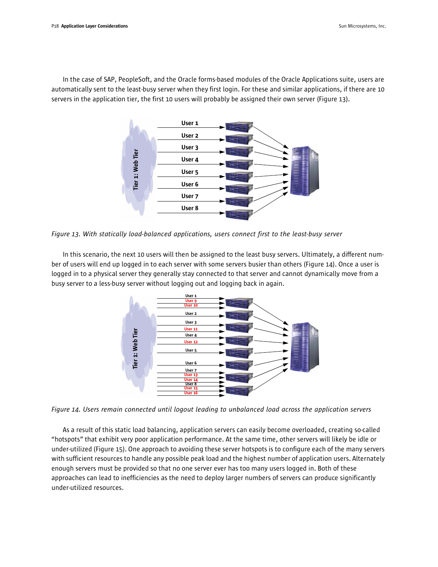In the case of SAP, PeopleSoft, and the Oracle forms-based modules of the Oracle Applications suite, users are automatically sent to the least-busy server when they first login. For these and similar applications, if there are 10 servers in the application tier, the first 10 users will probably be assigned their own server (Figure 13).



*Figure 13. With statically load-balanced applications, users connect first to the least-busy server*

In this scenario, the next 10 users will then be assigned to the least busy servers. Ultimately, a different number of users will end up logged in to each server with some servers busier than others (Figure 14). Once a user is logged in to a physical server they generally stay connected to that server and cannot dynamically move from a busy server to a less-busy server without logging out and logging back in again.



*Figure 14. Users remain connected until logout leading to unbalanced load across the application servers*

As a result of this static load balancing, application servers can easily become overloaded, creating so-called "hotspots" that exhibit very poor application performance. At the same time, other servers will likely be idle or under-utilized (Figure 15). One approach to avoiding these server hotspots is to configure each of the many servers with sufficient resources to handle any possible peak load and the highest number of application users. Alternately enough servers must be provided so that no one server ever has too many users logged in. Both of these approaches can lead to inefficiencies as the need to deploy larger numbers of servers can produce significantly under-utilized resources.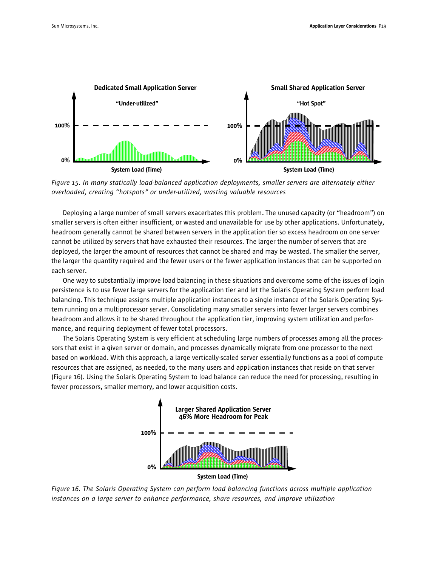

*Figure 15. In many statically load-balanced application deployments, smaller servers are alternately either overloaded, creating "hotspots" or under-utilized, wasting valuable resources*

Deploying a large number of small servers exacerbates this problem. The unused capacity (or "headroom") on smaller servers is often either insufficient, or wasted and unavailable for use by other applications. Unfortunately, headroom generally cannot be shared between servers in the application tier so excess headroom on one server cannot be utilized by servers that have exhausted their resources. The larger the number of servers that are deployed, the larger the amount of resources that cannot be shared and may be wasted. The smaller the server, the larger the quantity required and the fewer users or the fewer application instances that can be supported on each server.

One way to substantially improve load balancing in these situations and overcome some of the issues of login persistence is to use fewer large servers for the application tier and let the Solaris Operating System perform load balancing. This technique assigns multiple application instances to a single instance of the Solaris Operating System running on a multiprocessor server. Consolidating many smaller servers into fewer larger servers combines headroom and allows it to be shared throughout the application tier, improving system utilization and performance, and requiring deployment of fewer total processors.

The Solaris Operating System is very efficient at scheduling large numbers of processes among all the processors that exist in a given server or domain, and processes dynamically migrate from one processor to the next based on workload. With this approach, a large vertically-scaled server essentially functions as a pool of compute resources that are assigned, as needed, to the many users and application instances that reside on that server (Figure 16). Using the Solaris Operating System to load balance can reduce the need for processing, resulting in fewer processors, smaller memory, and lower acquisition costs.



*Figure 16. The Solaris Operating System can perform load balancing functions across multiple application instances on a large server to enhance performance, share resources, and improve utilization*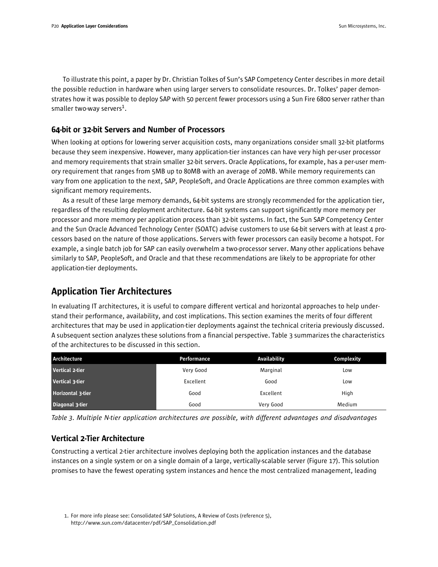To illustrate this point, a paper by Dr. Christian Tolkes of Sun's SAP Competency Center describes in more detail the possible reduction in hardware when using larger servers to consolidate resources. Dr. Tolkes' paper demonstrates how it was possible to deploy SAP with 50 percent fewer processors using a Sun Fire 6800 server rather than smaller two-way servers $^1$ .

#### 64-bit or 32-bit Servers and Number of Processors

When looking at options for lowering server acquisition costs, many organizations consider small 32-bit platforms because they seem inexpensive. However, many application-tier instances can have very high per-user processor and memory requirements that strain smaller 32-bit servers. Oracle Applications, for example, has a per-user memory requirement that ranges from 5MB up to 80MB with an average of 20MB. While memory requirements can vary from one application to the next, SAP, PeopleSoft, and Oracle Applications are three common examples with significant memory requirements.

As a result of these large memory demands, 64-bit systems are strongly recommended for the application tier, regardless of the resulting deployment architecture. 64-bit systems can support significantly more memory per processor and more memory per application process than 32-bit systems. In fact, the Sun SAP Competency Center and the Sun Oracle Advanced Technology Center (SOATC) advise customers to use 64-bit servers with at least 4 processors based on the nature of those applications. Servers with fewer processors can easily become a hotspot. For example, a single batch job for SAP can easily overwhelm a two-processor server. Many other applications behave similarly to SAP, PeopleSoft, and Oracle and that these recommendations are likely to be appropriate for other application-tier deployments.

## Application Tier Architectures

In evaluating IT architectures, it is useful to compare different vertical and horizontal approaches to help understand their performance, availability, and cost implications. This section examines the merits of four different architectures that may be used in application-tier deployments against the technical criteria previously discussed. A subsequent section analyzes these solutions from a financial perspective. Table 3 summarizes the characteristics of the architectures to be discussed in this section.

| Architecture      | Performance | <b>Availability</b> | Complexity |
|-------------------|-------------|---------------------|------------|
| Vertical 2-tier   | Very Good   | Marginal            | Low        |
| Vertical 3-tier   | Excellent   | Good                | Low        |
| Horizontal 3-tier | Good        | Excellent           | High       |
| Diagonal 3-tier   | Good        | Very Good           | Medium     |

*Table 3. Multiple N-tier application architectures are possible, with different advantages and disadvantages*

## Vertical 2-Tier Architecture

Constructing a vertical 2-tier architecture involves deploying both the application instances and the database instances on a single system or on a single domain of a large, vertically-scalable server (Figure 17). This solution promises to have the fewest operating system instances and hence the most centralized management, leading

<sup>1.</sup> For more info please see: Consolidated SAP Solutions, A Review of Costs (reference 5), http://www.sun.com/datacenter/pdf/SAP\_Consolidation.pdf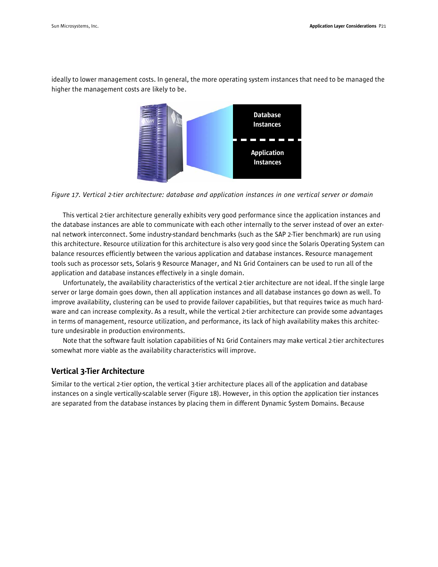ideally to lower management costs. In general, the more operating system instances that need to be managed the higher the management costs are likely to be.





This vertical 2-tier architecture generally exhibits very good performance since the application instances and the database instances are able to communicate with each other internally to the server instead of over an external network interconnect. Some industry-standard benchmarks (such as the SAP 2-Tier benchmark) are run using this architecture. Resource utilization for this architecture is also very good since the Solaris Operating System can balance resources efficiently between the various application and database instances. Resource management tools such as processor sets, Solaris 9 Resource Manager, and N1 Grid Containers can be used to run all of the application and database instances effectively in a single domain.

Unfortunately, the availability characteristics of the vertical 2-tier architecture are not ideal. If the single large server or large domain goes down, then all application instances and all database instances go down as well. To improve availability, clustering can be used to provide failover capabilities, but that requires twice as much hardware and can increase complexity. As a result, while the vertical 2-tier architecture can provide some advantages in terms of management, resource utilization, and performance, its lack of high availability makes this architecture undesirable in production environments.

Note that the software fault isolation capabilities of N1 Grid Containers may make vertical 2-tier architectures somewhat more viable as the availability characteristics will improve.

#### Vertical 3-Tier Architecture

Similar to the vertical 2-tier option, the vertical 3-tier architecture places all of the application and database instances on a single vertically-scalable server (Figure 18). However, in this option the application tier instances are separated from the database instances by placing them in different Dynamic System Domains. Because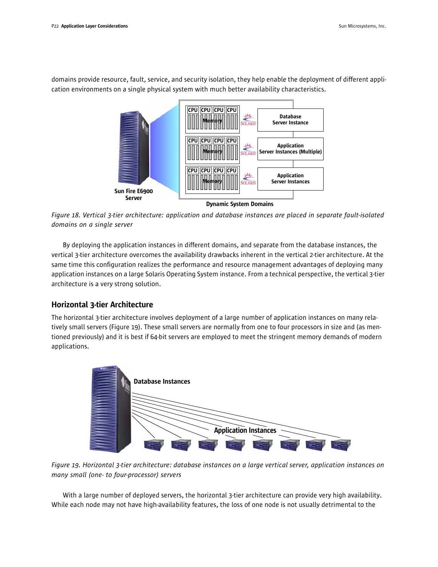domains provide resource, fault, service, and security isolation, they help enable the deployment of different application environments on a single physical system with much better availability characteristics.



*Figure 18. Vertical 3-tier architecture: application and database instances are placed in separate fault-isolated domains on a single server*

By deploying the application instances in different domains, and separate from the database instances, the vertical 3-tier architecture overcomes the availability drawbacks inherent in the vertical 2-tier architecture. At the same time this configuration realizes the performance and resource management advantages of deploying many application instances on a large Solaris Operating System instance. From a technical perspective, the vertical 3-tier architecture is a very strong solution.

#### Horizontal 3-tier Architecture

The horizontal 3-tier architecture involves deployment of a large number of application instances on many relatively small servers (Figure 19). These small servers are normally from one to four processors in size and (as mentioned previously) and it is best if 64-bit servers are employed to meet the stringent memory demands of modern applications.



*Figure 19. Horizontal 3-tier architecture: database instances on a large vertical server, application instances on many small (one- to four-processor) servers*

With a large number of deployed servers, the horizontal 3-tier architecture can provide very high availability. While each node may not have high-availability features, the loss of one node is not usually detrimental to the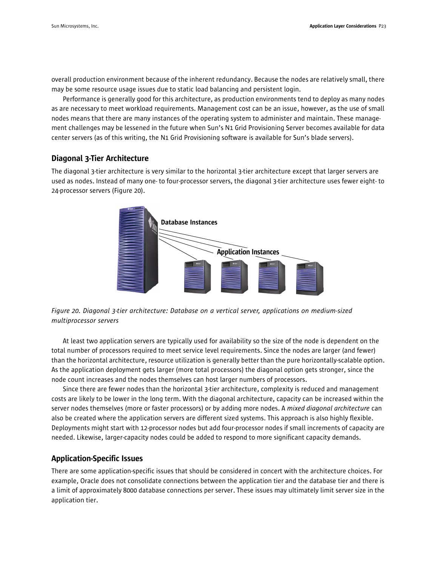overall production environment because of the inherent redundancy. Because the nodes are relatively small, there may be some resource usage issues due to static load balancing and persistent login.

Performance is generally good for this architecture, as production environments tend to deploy as many nodes as are necessary to meet workload requirements. Management cost can be an issue, however, as the use of small nodes means that there are many instances of the operating system to administer and maintain. These management challenges may be lessened in the future when Sun's N1 Grid Provisioning Server becomes available for data center servers (as of this writing, the N1 Grid Provisioning software is available for Sun's blade servers).

#### Diagonal 3-Tier Architecture

The diagonal 3-tier architecture is very similar to the horizontal 3-tier architecture except that larger servers are used as nodes. Instead of many one- to four-processor servers, the diagonal 3-tier architecture uses fewer eight- to 24-processor servers (Figure 20).



*Figure 20. Diagonal 3-tier architecture: Database on a vertical server, applications on medium-sized multiprocessor servers*

At least two application servers are typically used for availability so the size of the node is dependent on the total number of processors required to meet service level requirements. Since the nodes are larger (and fewer) than the horizontal architecture, resource utilization is generally better than the pure horizontally-scalable option. As the application deployment gets larger (more total processors) the diagonal option gets stronger, since the node count increases and the nodes themselves can host larger numbers of processors.

Since there are fewer nodes than the horizontal 3-tier architecture, complexity is reduced and management costs are likely to be lower in the long term. With the diagonal architecture, capacity can be increased within the server nodes themselves (more or faster processors) or by adding more nodes. A *mixed diagonal architecture* can also be created where the application servers are different sized systems. This approach is also highly flexible. Deployments might start with 12-processor nodes but add four-processor nodes if small increments of capacity are needed. Likewise, larger-capacity nodes could be added to respond to more significant capacity demands.

#### Application-Specific Issues

There are some application-specific issues that should be considered in concert with the architecture choices. For example, Oracle does not consolidate connections between the application tier and the database tier and there is a limit of approximately 8000 database connections per server. These issues may ultimately limit server size in the application tier.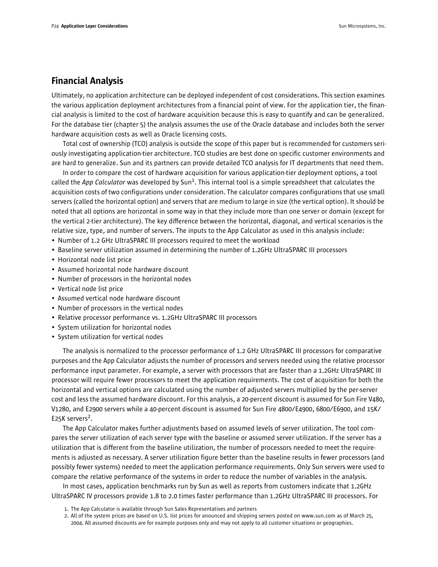## Financial Analysis

Ultimately, no application architecture can be deployed independent of cost considerations. This section examines the various application deployment architectures from a financial point of view. For the application tier, the financial analysis is limited to the cost of hardware acquisition because this is easy to quantify and can be generalized. For the database tier (chapter 5) the analysis assumes the use of the Oracle database and includes both the server hardware acquisition costs as well as Oracle licensing costs.

Total cost of ownership (TCO) analysis is outside the scope of this paper but is recommended for customers seriously investigating application-tier architecture. TCO studies are best done on specific customer environments and are hard to generalize. Sun and its partners can provide detailed TCO analysis for IT departments that need them.

In order to compare the cost of hardware acquisition for various application-tier deployment options, a tool called the App Calculator was developed by Sun<sup>1</sup>. This internal tool is a simple spreadsheet that calculates the acquisition costs of two configurations under consideration. The calculator compares configurations that use small servers (called the horizontal option) and servers that are medium to large in size (the vertical option). It should be noted that all options are horizontal in some way in that they include more than one server or domain (except for the vertical 2-tier architecture). The key difference between the horizontal, diagonal, and vertical scenarios is the relative size, type, and number of servers. The inputs to the App Calculator as used in this analysis include:

- Number of 1.2 GHz UltraSPARC III processors required to meet the workload
- Baseline server utilization assumed in determining the number of 1.2GHz UltraSPARC III processors
- Horizontal node list price
- Assumed horizontal node hardware discount
- Number of processors in the horizontal nodes
- Vertical node list price
- Assumed vertical node hardware discount
- Number of processors in the vertical nodes
- Relative processor performance vs. 1.2GHz UltraSPARC III processors
- System utilization for horizontal nodes
- System utilization for vertical nodes

The analysis is normalized to the processor performance of 1.2 GHz UltraSPARC III processors for comparative purposes and the App Calculator adjusts the number of processors and servers needed using the relative processor performance input parameter. For example, a server with processors that are faster than a 1.2GHz UltraSPARC III processor will require fewer processors to meet the application requirements. The cost of acquisition for both the horizontal and vertical options are calculated using the number of adjusted servers multiplied by the per-server cost and less the assumed hardware discount. For this analysis, a 20-percent discount is assumed for Sun Fire V480, V1280, and E2900 servers while a 40-percent discount is assumed for Sun Fire 4800/E4900, 6800/E6900, and 15K/ E25K servers<sup>2</sup>.

The App Calculator makes further adjustments based on assumed levels of server utilization. The tool compares the server utilization of each server type with the baseline or assumed server utilization. If the server has a utilization that is different from the baseline utilization, the number of processors needed to meet the requirements is adjusted as necessary. A server utilization figure better than the baseline results in fewer processors (and possibly fewer systems) needed to meet the application performance requirements. Only Sun servers were used to compare the relative performance of the systems in order to reduce the number of variables in the analysis.

In most cases, application benchmarks run by Sun as well as reports from customers indicate that 1.2GHz UltraSPARC IV processors provide 1.8 to 2.0 times faster performance than 1.2GHz UltraSPARC III processors. For

- 1. The App Calculator is available through Sun Sales Representatives and partners
- 2. All of the system prices are based on U.S. list prices for anounced and shipping servers posted on www.sun.com as of March 25, 2004. All assumed discounts are for example purposes only and may not apply to all customer situations or geographies.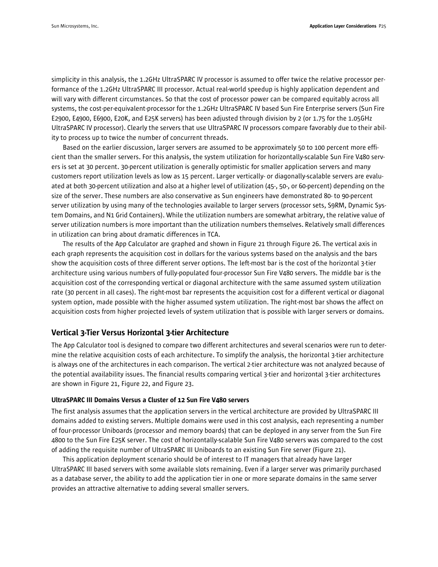simplicity in this analysis, the 1.2GHz UltraSPARC IV processor is assumed to offer twice the relative processor performance of the 1.2GHz UltraSPARC III processor. Actual real-world speedup is highly application dependent and will vary with different circumstances. So that the cost of processor power can be compared equitably across all systems, the cost-per-equivalent-processor for the 1.2GHz UltraSPARC IV based Sun Fire Enterprise servers (Sun Fire E2900, E4900, E6900, E20K, and E25K servers) has been adjusted through division by 2 (or 1.75 for the 1.05GHz UltraSPARC IV processor). Clearly the servers that use UltraSPARC IV processors compare favorably due to their ability to process up to twice the number of concurrent threads.

Based on the earlier discussion, larger servers are assumed to be approximately 50 to 100 percent more efficient than the smaller servers. For this analysis, the system utilization for horizontally-scalable Sun Fire V480 servers is set at 30 percent. 30-percent utilization is generally optimistic for smaller application servers and many customers report utilization levels as low as 15 percent. Larger vertically- or diagonally-scalable servers are evaluated at both 30-percent utilization and also at a higher level of utilization (45-, 50-, or 60-percent) depending on the size of the server. These numbers are also conservative as Sun engineers have demonstrated 80- to 90-percent server utilization by using many of the technologies available to larger servers (processor sets, S9RM, Dynamic System Domains, and N1 Grid Containers). While the utilization numbers are somewhat arbitrary, the relative value of server utilization numbers is more important than the utilization numbers themselves. Relatively small differences in utilization can bring about dramatic differences in TCA.

The results of the App Calculator are graphed and shown in Figure 21 through Figure 26. The vertical axis in each graph represents the acquisition cost in dollars for the various systems based on the analysis and the bars show the acquisition costs of three different server options. The left-most bar is the cost of the horizontal 3-tier architecture using various numbers of fully-populated four-processor Sun Fire V480 servers. The middle bar is the acquisition cost of the corresponding vertical or diagonal architecture with the same assumed system utilization rate (30 percent in all cases). The right-most bar represents the acquisition cost for a different vertical or diagonal system option, made possible with the higher assumed system utilization. The right-most bar shows the affect on acquisition costs from higher projected levels of system utilization that is possible with larger servers or domains.

#### Vertical 3-Tier Versus Horizontal 3-tier Architecture

The App Calculator tool is designed to compare two different architectures and several scenarios were run to determine the relative acquisition costs of each architecture. To simplify the analysis, the horizontal 3-tier architecture is always one of the architectures in each comparison. The vertical 2-tier architecture was not analyzed because of the potential availability issues. The financial results comparing vertical 3-tier and horizontal 3-tier architectures are shown in Figure 21, Figure 22, and Figure 23.

#### UltraSPARC III Domains Versus a Cluster of 12 Sun Fire V480 servers

The first analysis assumes that the application servers in the vertical architecture are provided by UltraSPARC III domains added to existing servers. Multiple domains were used in this cost analysis, each representing a number of four-processor Uniboards (processor and memory boards) that can be deployed in any server from the Sun Fire 4800 to the Sun Fire E25K server. The cost of horizontally-scalable Sun Fire V480 servers was compared to the cost of adding the requisite number of UltraSPARC III Uniboards to an existing Sun Fire server (Figure 21).

This application deployment scenario should be of interest to IT managers that already have larger UltraSPARC III based servers with some available slots remaining. Even if a larger server was primarily purchased as a database server, the ability to add the application tier in one or more separate domains in the same server provides an attractive alternative to adding several smaller servers.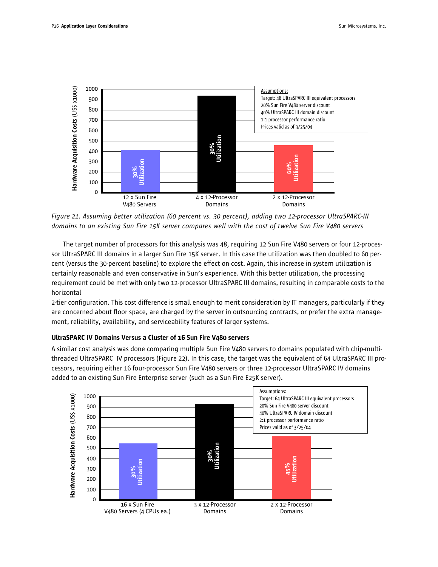

*Figure 21. Assuming better utilization (60 percent vs. 30 percent), adding two 12-processor UltraSPARC-III domains to an existing Sun Fire 15K server compares well with the cost of twelve Sun Fire V480 servers*

The target number of processors for this analysis was 48, requiring 12 Sun Fire V480 servers or four 12-processor UltraSPARC III domains in a larger Sun Fire 15K server. In this case the utilization was then doubled to 60 percent (versus the 30-percent baseline) to explore the effect on cost. Again, this increase in system utilization is certainly reasonable and even conservative in Sun's experience. With this better utilization, the processing requirement could be met with only two 12-processor UltraSPARC III domains, resulting in comparable costs to the horizontal

2-tier configuration. This cost difference is small enough to merit consideration by IT managers, particularly if they are concerned about floor space, are charged by the server in outsourcing contracts, or prefer the extra management, reliability, availability, and serviceability features of larger systems.

#### UltraSPARC IV Domains Versus a Cluster of 16 Sun Fire V480 servers

A similar cost analysis was done comparing multiple Sun Fire V480 servers to domains populated with chip-multithreaded UltraSPARC IV processors (Figure 22). In this case, the target was the equivalent of 64 UltraSPARC III processors, requiring either 16 four-processor Sun Fire V480 servers or three 12-processor UltraSPARC IV domains

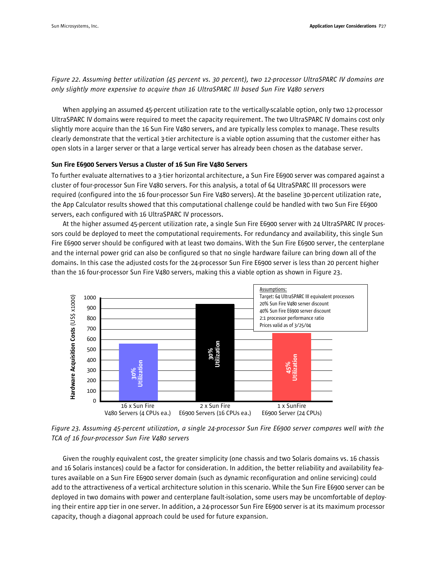*Figure 22. Assuming better utilization (45 percent vs. 30 percent), two 12-processor UltraSPARC IV domains are only slightly more expensive to acquire than 16 UltraSPARC III based Sun Fire V480 servers*

When applying an assumed 45-percent utilization rate to the vertically-scalable option, only two 12-processor UltraSPARC IV domains were required to meet the capacity requirement. The two UltraSPARC IV domains cost only slightly more acquire than the 16 Sun Fire V480 servers, and are typically less complex to manage. These results clearly demonstrate that the vertical 3-tier architecture is a viable option assuming that the customer either has open slots in a larger server or that a large vertical server has already been chosen as the database server.

#### Sun Fire E6900 Servers Versus a Cluster of 16 Sun Fire V480 Servers

To further evaluate alternatives to a 3-tier horizontal architecture, a Sun Fire E6900 server was compared against a cluster of four-processor Sun Fire V480 servers. For this analysis, a total of 64 UltraSPARC III processors were required (configured into the 16 four-processor Sun Fire V480 servers). At the baseline 30-percent utilization rate, the App Calculator results showed that this computational challenge could be handled with two Sun Fire E6900 servers, each configured with 16 UltraSPARC IV processors.

At the higher assumed 45-percent utilization rate, a single Sun Fire E6900 server with 24 UltraSPARC IV processors could be deployed to meet the computational requirements. For redundancy and availability, this single Sun Fire E6900 server should be configured with at least two domains. With the Sun Fire E6900 server, the centerplane and the internal power grid can also be configured so that no single hardware failure can bring down all of the domains. In this case the adjusted costs for the 24-processor Sun Fire E6900 server is less than 20 percent higher than the 16 four-processor Sun Fire V480 servers, making this a viable option as shown in Figure 23.



*Figure 23. Assuming 45-percent utilization, a single 24-processor Sun Fire E6900 server compares well with the TCA of 16 four-processor Sun Fire V480 servers*

Given the roughly equivalent cost, the greater simplicity (one chassis and two Solaris domains vs. 16 chassis and 16 Solaris instances) could be a factor for consideration. In addition, the better reliability and availability features available on a Sun Fire E6900 server domain (such as dynamic reconfiguration and online servicing) could add to the attractiveness of a vertical architecture solution in this scenario. While the Sun Fire E6900 server can be deployed in two domains with power and centerplane fault-isolation, some users may be uncomfortable of deploying their entire app tier in one server. In addition, a 24-processor Sun Fire E6900 server is at its maximum processor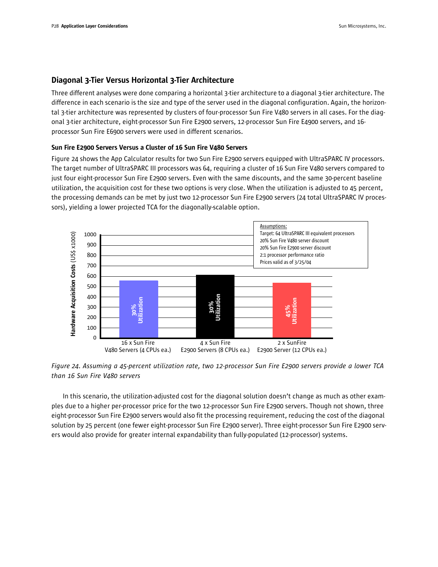#### Diagonal 3-Tier Versus Horizontal 3-Tier Architecture

Three different analyses were done comparing a horizontal 3-tier architecture to a diagonal 3-tier architecture. The difference in each scenario is the size and type of the server used in the diagonal configuration. Again, the horizontal 3-tier architecture was represented by clusters of four-processor Sun Fire V480 servers in all cases. For the diagonal 3-tier architecture, eight-processor Sun Fire E2900 servers, 12-processor Sun Fire E4900 servers, and 16 processor Sun Fire E6900 servers were used in different scenarios.

#### Sun Fire E2900 Servers Versus a Cluster of 16 Sun Fire V480 Servers

Figure 24 shows the App Calculator results for two Sun Fire E2900 servers equipped with UltraSPARC IV processors. The target number of UltraSPARC III processors was 64, requiring a cluster of 16 Sun Fire V480 servers compared to just four eight-processor Sun Fire E2900 servers. Even with the same discounts, and the same 30-percent baseline utilization, the acquisition cost for these two options is very close. When the utilization is adjusted to 45 percent, the processing demands can be met by just two 12-processor Sun Fire E2900 servers (24 total UltraSPARC IV processors), yielding a lower projected TCA for the diagonally-scalable option.



*Figure 24. Assuming a 45-percent utilization rate, two 12-processor Sun Fire E2900 servers provide a lower TCA than 16 Sun Fire V480 servers*

In this scenario, the utilization-adjusted cost for the diagonal solution doesn't change as much as other examples due to a higher per-processor price for the two 12-processor Sun Fire E2900 servers. Though not shown, three eight-processor Sun Fire E2900 servers would also fit the processing requirement, reducing the cost of the diagonal solution by 25 percent (one fewer eight-processor Sun Fire E2900 server). Three eight-processor Sun Fire E2900 serv-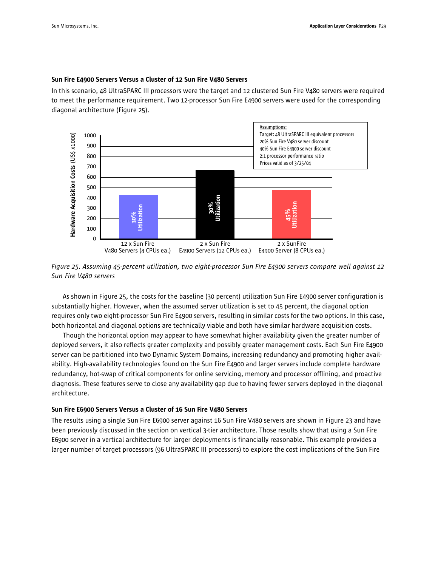#### Sun Fire E4900 Servers Versus a Cluster of 12 Sun Fire V480 Servers

In this scenario, 48 UltraSPARC III processors were the target and 12 clustered Sun Fire V480 servers were required to meet the performance requirement. Two 12-processor Sun Fire E4900 servers were used for the corresponding diagonal architecture (Figure 25).



*Figure 25. Assuming 45-percent utilization, two eight-processor Sun Fire E4900 servers compare well against 12 Sun Fire V480 servers*

As shown in Figure 25, the costs for the baseline (30 percent) utilization Sun Fire E4900 server configuration is substantially higher. However, when the assumed server utilization is set to 45 percent, the diagonal option requires only two eight-processor Sun Fire E4900 servers, resulting in similar costs for the two options. In this case, both horizontal and diagonal options are technically viable and both have similar hardware acquisition costs.

Though the horizontal option may appear to have somewhat higher availability given the greater number of deployed servers, it also reflects greater complexity and possibly greater management costs. Each Sun Fire E4900 server can be partitioned into two Dynamic System Domains, increasing redundancy and promoting higher availability. High-availability technologies found on the Sun Fire E4900 and larger servers include complete hardware redundancy, hot-swap of critical components for online servicing, memory and processor offlining, and proactive diagnosis. These features serve to close any availability gap due to having fewer servers deployed in the diagonal architecture.

#### Sun Fire E6900 Servers Versus a Cluster of 16 Sun Fire V480 Servers

The results using a single Sun Fire E6900 server against 16 Sun Fire V480 servers are shown in Figure 23 and have been previously discussed in the section on vertical 3-tier architecture. Those results show that using a Sun Fire E6900 server in a vertical architecture for larger deployments is financially reasonable. This example provides a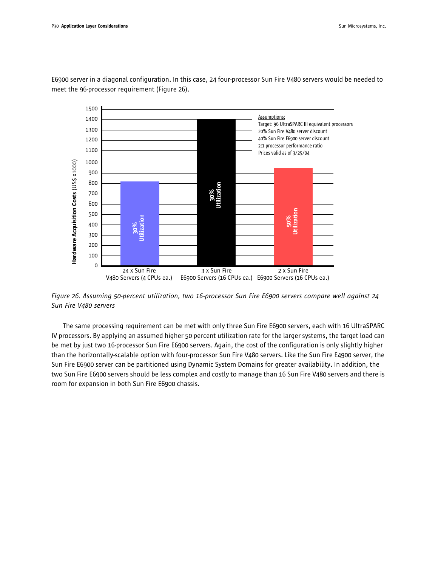

E6900 server in a diagonal configuration. In this case, 24 four-processor Sun Fire V480 servers would be needed to meet the 96-processor requirement (Figure 26).

*Figure 26. Assuming 50-percent utilization, two 16-processor Sun Fire E6900 servers compare well against 24 Sun Fire V480 servers*

The same processing requirement can be met with only three Sun Fire E6900 servers, each with 16 UltraSPARC IV processors. By applying an assumed higher 50 percent utilization rate for the larger systems, the target load can be met by just two 16-processor Sun Fire E6900 servers. Again, the cost of the configuration is only slightly higher than the horizontally-scalable option with four-processor Sun Fire V480 servers. Like the Sun Fire E4900 server, the Sun Fire E6900 server can be partitioned using Dynamic System Domains for greater availability. In addition, the two Sun Fire E6900 servers should be less complex and costly to manage than 16 Sun Fire V480 servers and there is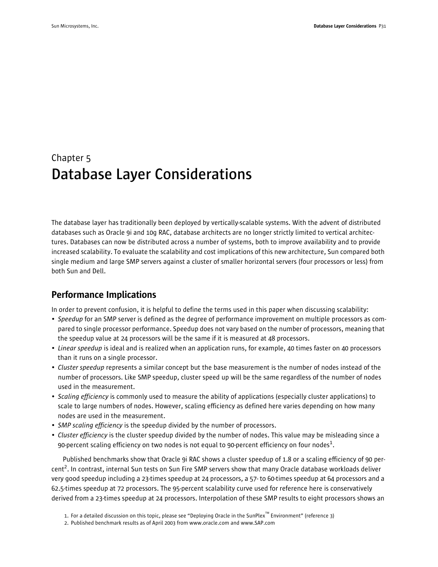# Chapter 5 **Database Layer Considerations**

The database layer has traditionally been deployed by vertically-scalable systems. With the advent of distributed databases such as Oracle 9i and 10g RAC, database architects are no longer strictly limited to vertical architectures. Databases can now be distributed across a number of systems, both to improve availability and to provide increased scalability. To evaluate the scalability and cost implications of this new architecture, Sun compared both single medium and large SMP servers against a cluster of smaller horizontal servers (four processors or less) from both Sun and Dell.

## Performance Implications

In order to prevent confusion, it is helpful to define the terms used in this paper when discussing scalability:

- *Speedup* for an SMP server is defined as the degree of performance improvement on multiple processors as compared to single processor performance. Speedup does not vary based on the number of processors, meaning that the speedup value at 24 processors will be the same if it is measured at 48 processors.
- *Linear speedup* is ideal and is realized when an application runs, for example, 40 times faster on 40 processors than it runs on a single processor.
- *Cluster speedup* represents a similar concept but the base measurement is the number of nodes instead of the number of processors. Like SMP speedup, cluster speed up will be the same regardless of the number of nodes used in the measurement.
- *Scaling efficiency* is commonly used to measure the ability of applications (especially cluster applications) to scale to large numbers of nodes. However, scaling efficiency as defined here varies depending on how many nodes are used in the measurement.
- *SMP scaling efficiency* is the speedup divided by the number of processors.
- *Cluster efficiency* is the cluster speedup divided by the number of nodes. This value may be misleading since a 90-percent scaling efficiency on two nodes is not equal to 90-percent efficiency on four nodes $^1\!\!$  .

Published benchmarks show that Oracle 9i RAC shows a cluster speedup of 1.8 or a scaling efficiency of 90 percent<sup>2</sup>. In contrast, internal Sun tests on Sun Fire SMP servers show that many Oracle database workloads deliver very good speedup including a 23-times speedup at 24 processors, a 57- to 60-times speedup at 64 processors and a 62.5-times speedup at 72 processors. The 95-percent scalability curve used for reference here is conservatively derived from a 23-times speedup at 24 processors. Interpolation of these SMP results to eight processors shows an

1. For a detailed discussion on this topic, please see "Deploying Oracle in the SunPlex™ Environment" (reference 3)

<sup>2.</sup> Published benchmark results as of April 2003 from www.oracle.com and www.SAP.com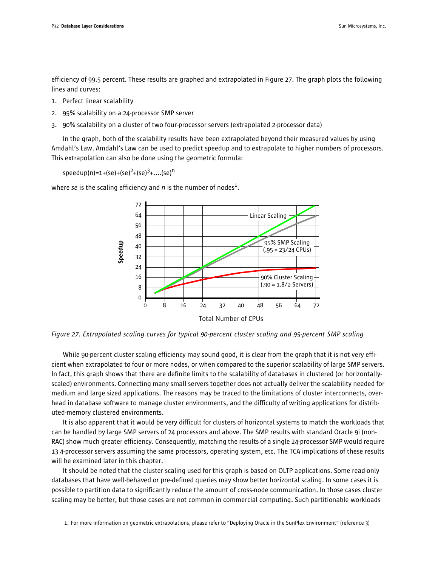efficiency of 99.5 percent. These results are graphed and extrapolated in Figure 27. The graph plots the following lines and curves:

- 1. Perfect linear scalability
- 2. 95% scalability on a 24-processor SMP server
- 3. 90% scalability on a cluster of two four-processor servers (extrapolated 2-processor data)

In the graph, both of the scalability results have been extrapolated beyond their measured values by using Amdahl's Law. Amdahl's Law can be used to predict speedup and to extrapolate to higher numbers of processors. This extrapolation can also be done using the geometric formula:

speedup(n)=1+(se)+(se)<sup>2</sup>+(se)<sup>3</sup>+....(se)<sup>n</sup>

where  $se$  is the scaling efficiency and  $n$  is the number of nodes $^1.$ 



*Figure 27. Extrapolated scaling curves for typical 90-percent cluster scaling and 95-percent SMP scaling*

While 90-percent cluster scaling efficiency may sound good, it is clear from the graph that it is not very efficient when extrapolated to four or more nodes, or when compared to the superior scalability of large SMP servers. In fact, this graph shows that there are definite limits to the scalability of databases in clustered (or horizontallyscaled) environments. Connecting many small servers together does not actually deliver the scalability needed for medium and large sized applications. The reasons may be traced to the limitations of cluster interconnects, overhead in database software to manage cluster environments, and the difficulty of writing applications for distributed-memory clustered environments. **1.** 40<br>
1. For more information on geometric extrapolation, plase refer to "Beploying Oracle is the Proposition of the Number of CPUs<br>
1. Total Number of CPUs<br>
1. Total Number of CPUs<br>
1. Total Number of CPUs<br>
1. Total N

It is also apparent that it would be very difficult for clusters of horizontal systems to match the workloads that can be handled by large SMP servers of 24 processors and above. The SMP results with standard Oracle 9i (non-RAC) show much greater efficiency. Consequently, matching the results of a single 24-processor SMP would require 13 4-processor servers assuming the same processors, operating system, etc. The TCA implications of these results will be examined later in this chapter.

It should be noted that the cluster scaling used for this graph is based on OLTP applications. Some read-only databases that have well-behaved or pre-defined queries may show better horizontal scaling. In some cases it is possible to partition data to significantly reduce the amount of cross-node communication. In those cases cluster scaling may be better, but those cases are not common in commercial computing. Such partitionable workloads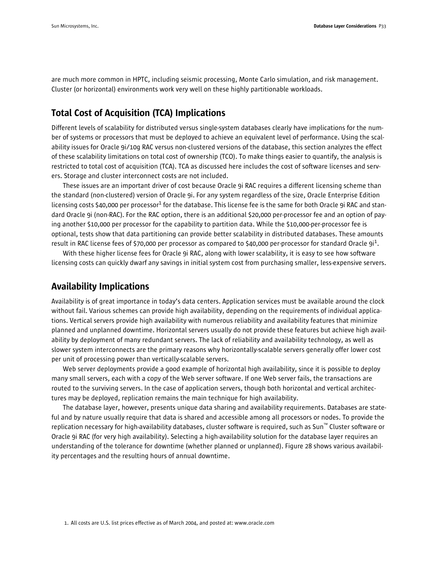are much more common in HPTC, including seismic processing, Monte Carlo simulation, and risk management. Cluster (or horizontal) environments work very well on these highly partitionable workloads.

## Total Cost of Acquisition (TCA) Implications

Different levels of scalability for distributed versus single-system databases clearly have implications for the number of systems or processors that must be deployed to achieve an equivalent level of performance. Using the scalability issues for Oracle 9i/10g RAC versus non-clustered versions of the database, this section analyzes the effect of these scalability limitations on total cost of ownership (TCO). To make things easier to quantify, the analysis is restricted to total cost of acquisition (TCA). TCA as discussed here includes the cost of software licenses and servers. Storage and cluster interconnect costs are not included.

These issues are an important driver of cost because Oracle 9i RAC requires a different licensing scheme than the standard (non-clustered) version of Oracle 9i. For any system regardless of the size, Oracle Enterprise Edition licensing costs \$40,000 per processor<sup>1</sup> for the database. This license fee is the same for both Oracle 9i RAC and standard Oracle 9i (non-RAC). For the RAC option, there is an additional \$20,000 per-processor fee and an option of paying another \$10,000 per processor for the capability to partition data. While the \$10,000-per-processor fee is optional, tests show that data partitioning can provide better scalability in distributed databases. These amounts result in RAC license fees of \$70,000 per processor as compared to \$40,000 per-processor for standard Oracle 9i<sup>1</sup>.

With these higher license fees for Oracle 9i RAC, along with lower scalability, it is easy to see how software licensing costs can quickly dwarf any savings in initial system cost from purchasing smaller, less-expensive servers.

## Availability Implications

Availability is of great importance in today's data centers. Application services must be available around the clock without fail. Various schemes can provide high availability, depending on the requirements of individual applications. Vertical servers provide high availability with numerous reliability and availability features that minimize planned and unplanned downtime. Horizontal servers usually do not provide these features but achieve high availability by deployment of many redundant servers. The lack of reliability and availability technology, as well as slower system interconnects are the primary reasons why horizontally-scalable servers generally offer lower cost per unit of processing power than vertically-scalable servers.

Web server deployments provide a good example of horizontal high availability, since it is possible to deploy many small servers, each with a copy of the Web server software. If one Web server fails, the transactions are routed to the surviving servers. In the case of application servers, though both horizontal and vertical architectures may be deployed, replication remains the main technique for high availability.

The database layer, however, presents unique data sharing and availability requirements. Databases are stateful and by nature usually require that data is shared and accessible among all processors or nodes. To provide the replication necessary for high-availability databases, cluster software is required, such as Sun™ Cluster software or Oracle 9i RAC (for very high availability). Selecting a high-availability solution for the database layer requires an understanding of the tolerance for downtime (whether planned or unplanned). Figure 28 shows various availability percentages and the resulting hours of annual downtime.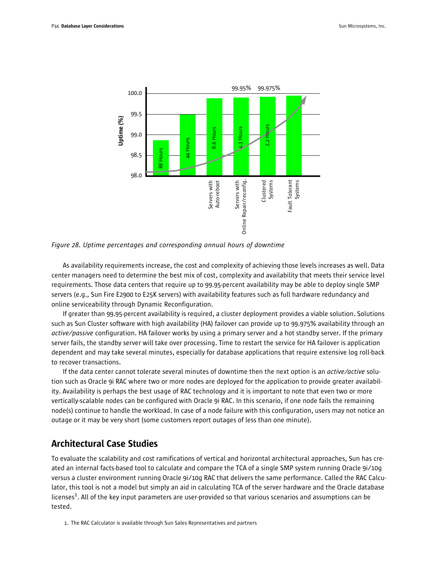

*Figure 28. Uptime percentages and corresponding annual hours of downtime*

As availability requirements increase, the cost and complexity of achieving those levels increases as well. Data center managers need to determine the best mix of cost, complexity and availability that meets their service level requirements. Those data centers that require up to 99.95-percent availability may be able to deploy single SMP servers (e.g., Sun Fire E2900 to E25K servers) with availability features such as full hardware redundancy and online serviceability through Dynamic Reconfiguration.

If greater than 99.95-percent availability is required, a cluster deployment provides a viable solution. Solutions such as Sun Cluster software with high availability (HA) failover can provide up to 99.975% availability through an *active/passive* configuration. HA failover works by using a primary server and a hot standby server. If the primary server fails, the standby server will take over processing. Time to restart the service for HA failover is application dependent and may take several minutes, especially for database applications that require extensive log roll-back to recover transactions.

If the data center cannot tolerate several minutes of downtime then the next option is an *active/active* solution such as Oracle 9i RAC where two or more nodes are deployed for the application to provide greater availability. Availability is perhaps the best usage of RAC technology and it is important to note that even two or more vertically-scalable nodes can be configured with Oracle 9i RAC. In this scenario, if one node fails the remaining node(s) continue to handle the workload. In case of a node failure with this configuration, users may not notice an outage or it may be very short (some customers report outages of less than one minute).

## Architectural Case Studies

To evaluate the scalability and cost ramifications of vertical and horizontal architectural approaches, Sun has created an internal facts-based tool to calculate and compare the TCA of a single SMP system running Oracle 9i/10g versus a cluster environment running Oracle 9i/10g RAC that delivers the same performance. Called the RAC Calculator, this tool is not a model but simply an aid in calculating TCA of the server hardware and the Oracle database licenses<sup>1</sup>. All of the key input parameters are user-provided so that various scenarios and assumptions can be tested.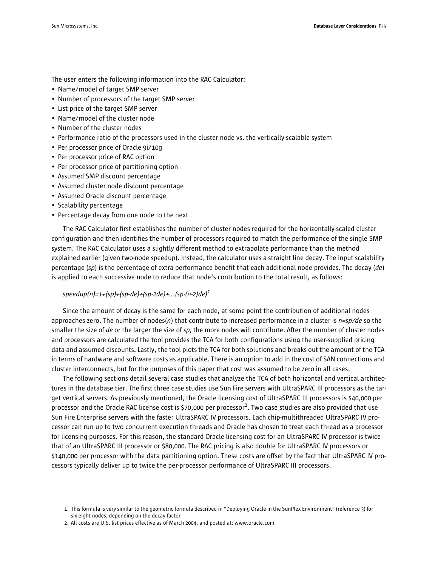The user enters the following information into the RAC Calculator:

- Name/model of target SMP server
- Number of processors of the target SMP server
- List price of the target SMP server
- Name/model of the cluster node
- Number of the cluster nodes
- Performance ratio of the processors used in the cluster node vs. the vertically-scalable system
- Per processor price of Oracle 9i/10g
- Per processor price of RAC option
- Per processor price of partitioning option
- Assumed SMP discount percentage
- Assumed cluster node discount percentage
- Assumed Oracle discount percentage
- Scalability percentage
- Percentage decay from one node to the next

The RAC Calculator first establishes the number of cluster nodes required for the horizontally-scaled cluster configuration and then identifies the number of processors required to match the performance of the single SMP system. The RAC Calculator uses a slightly different method to extrapolate performance than the method explained earlier (given two-node speedup). Instead, the calculator uses a straight line decay. The input scalability percentage (*sp*) is the percentage of extra performance benefit that each additional node provides. The decay (*de*) is applied to each successive node to reduce that node's contribution to the total result, as follows:

#### *speedup(n)=1+(sp)+(sp-de)+(sp-2de)+...(sp-(n-2)de)<sup>1</sup>*

Since the amount of decay is the same for each node, at some point the contribution of additional nodes approaches zero. The number of nodes(*n*) that contribute to increased performance in a cluster is *n=sp/de* so the smaller the size of *de* or the larger the size of *sp,* the more nodes will contribute. After the number of cluster nodes and processors are calculated the tool provides the TCA for both configurations using the user-supplied pricing data and assumed discounts. Lastly, the tool plots the TCA for both solutions and breaks out the amount of the TCA in terms of hardware and software costs as applicable. There is an option to add in the cost of SAN connections and cluster interconnects, but for the purposes of this paper that cost was assumed to be zero in all cases.

The following sections detail several case studies that analyze the TCA of both horizontal and vertical architectures in the database tier. The first three case studies use Sun Fire servers with UltraSPARC III processors as the target vertical servers. As previously mentioned, the Oracle licensing cost of UltraSPARC III processors is \$40,000 per processor and the Oracle RAC license cost is \$70,000 per processor<sup>2</sup>. Two case studies are also provided that use Sun Fire Enterprise servers with the faster UltraSPARC IV processors. Each chip-multithreaded UltraSPARC IV processor can run up to two concurrent execution threads and Oracle has chosen to treat each thread as a processor for licensing purposes. For this reason, the standard Oracle licensing cost for an UltraSPARC IV processor is twice that of an UltraSPARC III processor or \$80,000. The RAC pricing is also double for UltraSPARC IV processors or \$140,000 per processor with the data partitioning option. These costs are offset by the fact that UltraSPARC IV processors typically deliver up to twice the per-processor performance of UltraSPARC III processors.

2. All costs are U.S. list prices effective as of March 2004, and posted at: www.oracle.com

<sup>1.</sup> This formula is very similar to the geometric formula described in "Deploying Oracle in the SunPlex Environment" (reference 3) for six-eight nodes, depending on the decay factor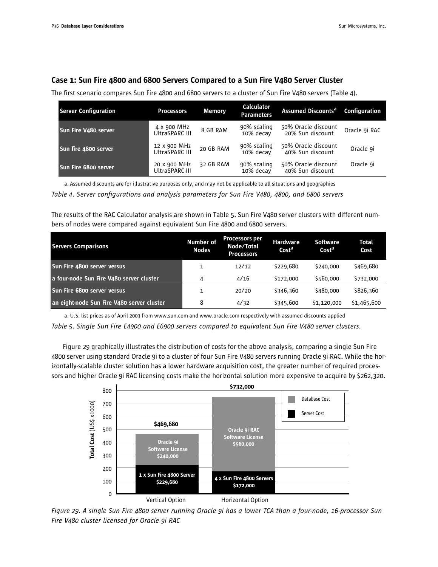#### Case 1: Sun Fire 4800 and 6800 Servers Compared to a Sun Fire V480 Server Cluster

The first scenario compares Sun Fire 4800 and 6800 servers to a cluster of Sun Fire V480 servers (Table 4).

| <b>Server Configuration</b> | <b>Processors</b>              | <b>Memory</b> | Calculator<br><b>Parameters</b> | <b>Assumed Discounts<sup>a</sup></b>    | <b>Configuration</b> |
|-----------------------------|--------------------------------|---------------|---------------------------------|-----------------------------------------|----------------------|
| Sun Fire V480 server        | 4 x 900 MHz<br>UltraSPARC III  | 8 GB RAM      | 90% scaling<br>10% decav        | 50% Oracle discount<br>20% Sun discount | Oracle 9i RAC        |
| Sun fire 4800 server        | 12 x 900 MHz<br>UltraSPARC III | 20 GB RAM     | 90% scaling<br>10% decav        | 50% Oracle discount<br>40% Sun discount | Oracle 9i            |
| Sun Fire 6800 server        | 20 x 900 MHz<br>UltraSPARC-III | 32 GB RAM     | 90% scaling<br>10% decav        | 50% Oracle discount<br>40% Sun discount | Oracle 9i            |

a. Assumed discounts are for illustrative purposes only, and may not be applicable to all situations and geographies

*Table 4. Server configurations and analysis parameters for Sun Fire V480, 4800, and 6800 servers*

The results of the RAC Calculator analysis are shown in Table 5. Sun Fire V480 server clusters with different numbers of nodes were compared against equivalent Sun Fire 4800 and 6800 servers.

| <b>Servers Comparisons</b>                 | <b>Number of</b><br><b>Nodes</b> | <b>Processors per</b><br>Node/Total<br><b>Processors</b> | Hardware<br>Cost <sup>a</sup> | <b>Software</b><br>Cost <sup>a</sup> | Total<br>Cost |
|--------------------------------------------|----------------------------------|----------------------------------------------------------|-------------------------------|--------------------------------------|---------------|
| Sun Fire 4800 server versus                |                                  | 12/12                                                    | \$229,680                     | \$240,000                            | \$469,680     |
| a four-node Sun Fire V480 server cluster   | 4                                | 4/16                                                     | \$172,000                     | \$560,000                            | \$732,000     |
| Sun Fire 6800 server versus                |                                  | 20/20                                                    | \$346,360                     | \$480,000                            | \$826,360     |
| an eight-node Sun Fire V480 server cluster | 8                                | 4/32                                                     | \$345,600                     | \$1,120,000                          | \$1,465,600   |

a. U.S. list prices as of April 2003 from www.sun.com and www.oracle.com respectively with assumed discounts applied *Table 5. Single Sun Fire E4900 and E6900 servers compared to equivalent Sun Fire V480 server clusters.*

Figure 29 graphically illustrates the distribution of costs for the above analysis, comparing a single Sun Fire 4800 server using standard Oracle 9i to a cluster of four Sun Fire V480 servers running Oracle 9i RAC. While the horizontally-scalable cluster solution has a lower hardware acquisition cost, the greater number of required processors and higher Oracle 9i RAC licensing costs make the horizontal solution more expensive to acquire by \$262,320.



*Figure 29. A single Sun Fire 4800 server running Oracle 9i has a lower TCA than a four-node, 16-processor Sun Fire V480 cluster licensed for Oracle 9i RAC*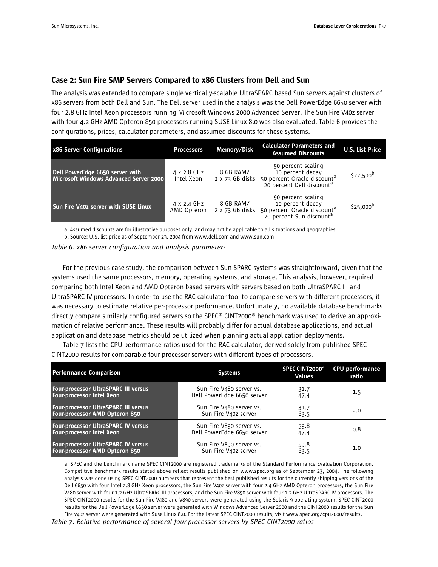#### Case 2: Sun Fire SMP Servers Compared to x86 Clusters from Dell and Sun

The analysis was extended to compare single vertically-scalable UltraSPARC based Sun servers against clusters of x86 servers from both Dell and Sun. The Dell server used in the analysis was the Dell PowerEdge 6650 server with four 2.8 GHz Intel Xeon processors running Microsoft Windows 2000 Advanced Server. The Sun Fire V40z server with four 4.2 GHz AMD Opteron 850 processors running SUSE Linux 8.0 was also evaluated. Table 6 provides the configurations, prices, calculator parameters, and assumed discounts for these systems.

| x86 Server Configurations                                                        | <b>Processors</b>          | <b>Memory/Disk</b>           | <b>Calculator Parameters and</b><br><b>Assumed Discounts</b>                                                               | <b>U.S. List Price</b> |
|----------------------------------------------------------------------------------|----------------------------|------------------------------|----------------------------------------------------------------------------------------------------------------------------|------------------------|
| Dell PowerEdge 6650 server with<br><b>Microsoft Windows Advanced Server 2000</b> | 4 x 2.8 GHz<br>Intel Xeon  | 8 GB RAM/<br>2 x 73 GB disks | 90 percent scaling<br>10 percent decay<br>50 percent Oracle discount <sup>a</sup><br>20 percent Dell discount <sup>a</sup> | $$22,500^b$            |
| Sun Fire V40z server with SUSE Linux                                             | 4 x 2.4 GHz<br>AMD Opteron | 8 GB RAM/<br>2 x 73 GB disks | 90 percent scaling<br>10 percent decay<br>50 percent Oracle discount <sup>a</sup><br>20 percent Sun discount <sup>a</sup>  | $$25,000^b$            |

a. Assumed discounts are for illustrative purposes only, and may not be applicable to all situations and geographies b. Source: U.S. list price as of September 23, 2004 from www.dell.com and www.sun.com

*Table 6. x86 server configuration and analysis parameters*

For the previous case study, the comparison between Sun SPARC systems was straightforward, given that the systems used the same processors, memory, operating systems, and storage. This analysis, however, required comparing both Intel Xeon and AMD Opteron based servers with servers based on both UltraSPARC III and UltraSPARC IV processors. In order to use the RAC calculator tool to compare servers with different processors, it was necessary to estimate relative per-processor performance. Unfortunately, no available database benchmarks directly compare similarly configured servers so the SPEC® CINT2000® benchmark was used to derive an approximation of relative performance. These results will probably differ for actual database applications, and actual application and database metrics should be utilized when planning actual application deployments.

Table 7 lists the CPU performance ratios used for the RAC calculator, derived solely from published SPEC CINT2000 results for comparable four-processor servers with different types of processors.

| <b>Performance Comparison</b>               | <b>Systems</b>             | SPEC CINT2000 <sup>a</sup><br><b>Values</b> | <b>CPU</b> performance<br>ratio |
|---------------------------------------------|----------------------------|---------------------------------------------|---------------------------------|
| <b>Four-processor UltraSPARC III versus</b> | Sun Fire V480 server vs.   | 31.7                                        | 1.5                             |
| <b>Four-processor Intel Xeon</b>            | Dell PowerEdge 6650 server | 47.4                                        |                                 |
| <b>Four-processor UltraSPARC III versus</b> | Sun Fire V480 server vs.   | 31.7                                        | 2.0                             |
| Four-processor AMD Opteron 850              | Sun Fire V40z server       | 63.5                                        |                                 |
| <b>Four-processor UltraSPARC IV versus</b>  | Sun Fire V890 server vs.   | 59.8                                        | 0.8                             |
| <b>Four-processor Intel Xeon</b>            | Dell PowerEdge 6650 server | 47.4                                        |                                 |
| <b>Four-processor UltraSPARC IV versus</b>  | Sun Fire V890 server vs.   | 59.8                                        | 1.0                             |
| Four-processor AMD Opteron 850              | Sun Fire V40z server       | 63.5                                        |                                 |

a. SPEC and the benchmark name SPEC CINT2000 are registered trademarks of the Standard Performance Evaluation Corporation. Competitive benchmark results stated above reflect results published on www.spec.org as of September 23, 2004. The following analysis was done using SPEC CINT2000 numbers that represent the best published results for the currently shipping versions of the Dell 6650 with four Intel 2.8 GHz Xeon processors, the Sun Fire V40z server with four 2.4 GHz AMD Opteron processors, the Sun Fire V480 server with four 1.2 GHz UltraSPARC III processors, and the Sun Fire V890 server with four 1.2 GHz UltraSPARC IV processors. The SPEC CINT2000 results for the Sun Fire V480 and V890 servers were generated using the Solaris 9 operating system. SPEC CINT2000 results for the Dell PowerEdge 6650 server were generated with Windows Advanced Server 2000 and the CINT2000 results for the Sun Fire v40z server were generated with Suse Linux 8.0. For the latest SPEC CINT2000 results, visit www.spec.org/cpu2000/results.

*Table 7. Relative performance of several four-processor servers by SPEC CINT2000 ratios*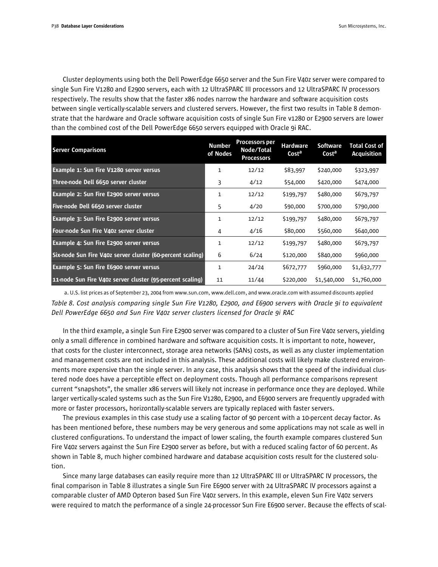Cluster deployments using both the Dell PowerEdge 6650 server and the Sun Fire V40z server were compared to single Sun Fire V1280 and E2900 servers, each with 12 UltraSPARC III processors and 12 UltraSPARC IV processors respectively. The results show that the faster x86 nodes narrow the hardware and software acquisition costs between single vertically-scalable servers and clustered servers. However, the first two results in Table 8 demonstrate that the hardware and Oracle software acquisition costs of single Sun Fire v1280 or E2900 servers are lower than the combined cost of the Dell PowerEdge 6650 servers equipped with Oracle 9i RAC.

| <b>Server Comparisons</b>                                  | <b>Number</b><br>of Nodes | <b>Processors per</b><br>Node/Total<br><b>Processors</b> | <b>Hardware</b><br>Costa | <b>Software</b><br>Cost <sup>a</sup> | Total Cost of<br><b>Acquisition</b> |
|------------------------------------------------------------|---------------------------|----------------------------------------------------------|--------------------------|--------------------------------------|-------------------------------------|
| <b>Example 1: Sun Fire V1280 server versus</b>             | $\mathbf{1}$              | 12/12                                                    | \$83,997                 | \$240,000                            | \$323,997                           |
| Three-node Dell 6650 server cluster                        | 3                         | 4/12                                                     | \$54,000                 | \$420,000                            | \$474,000                           |
| <b>Example 2: Sun Fire E2900 server versus</b>             | $\mathbf{1}$              | 12/12                                                    | \$199,797                | \$480,000                            | \$679,797                           |
| Five-node Dell 6650 server cluster                         | 5                         | 4/20                                                     | \$90,000                 | \$700,000                            | \$790,000                           |
| <b>Example 3: Sun Fire E2900 server versus</b>             | $\mathbf{1}$              | 12/12                                                    | \$199,797                | \$480,000                            | \$679,797                           |
| Four-node Sun Fire V40z server cluster                     | 4                         | 4/16                                                     | \$80,000                 | \$560,000                            | \$640,000                           |
| <b>Example 4: Sun Fire E2900 server versus</b>             | $\mathbf{1}$              | 12/12                                                    | \$199,797                | \$480,000                            | \$679,797                           |
| Six-node Sun Fire V40z server cluster (60-percent scaling) | 6                         | 6/24                                                     | \$120,000                | \$840,000                            | \$960,000                           |
| <b>Example 5: Sun Fire E6900 server versus</b>             | $\mathbf{1}$              | 24/24                                                    | \$672,777                | \$960,000                            | \$1,632,777                         |
| 11-node Sun Fire V40z server cluster (95-percent scaling)  | 11                        | 11/44                                                    | \$220,000                | \$1,540,000                          | \$1,760,000                         |

a. U.S. list prices as of September 23, 2004 from www.sun.com, www.dell.com, and www.oracle.com with assumed discounts applied *Table 8. Cost analysis comparing single Sun Fire V1280, E2900, and E6900 servers with Oracle 9i to equivalent Dell PowerEdge 6650 and Sun Fire V40z server clusters licensed for Oracle 9i RAC*

In the third example, a single Sun Fire E2900 server was compared to a cluster of Sun Fire V40z servers, yielding only a small difference in combined hardware and software acquisition costs. It is important to note, however, that costs for the cluster interconnect, storage area networks (SANs) costs, as well as any cluster implementation and management costs are not included in this analysis. These additional costs will likely make clustered environments more expensive than the single server. In any case, this analysis shows that the speed of the individual clustered node does have a perceptible effect on deployment costs. Though all performance comparisons represent current "snapshots", the smaller x86 servers will likely not increase in performance once they are deployed. While larger vertically-scaled systems such as the Sun Fire V1280, E2900, and E6900 servers are frequently upgraded with more or faster processors, horizontally-scalable servers are typically replaced with faster servers.

The previous examples in this case study use a scaling factor of 90 percent with a 10-percent decay factor. As has been mentioned before, these numbers may be very generous and some applications may not scale as well in clustered configurations. To understand the impact of lower scaling, the fourth example compares clustered Sun Fire V40z servers against the Sun Fire E2900 server as before, but with a reduced scaling factor of 60 percent. As shown in Table 8, much higher combined hardware and database acquisition costs result for the clustered solution.

Since many large databases can easily require more than 12 UltraSPARC III or UltraSPARC IV processors, the final comparison in Table 8 illustrates a single Sun Fire E6900 server with 24 UltraSPARC IV processors against a comparable cluster of AMD Opteron based Sun Fire V40z servers. In this example, eleven Sun Fire V40z servers were required to match the performance of a single 24-processor Sun Fire E6900 server. Because the effects of scal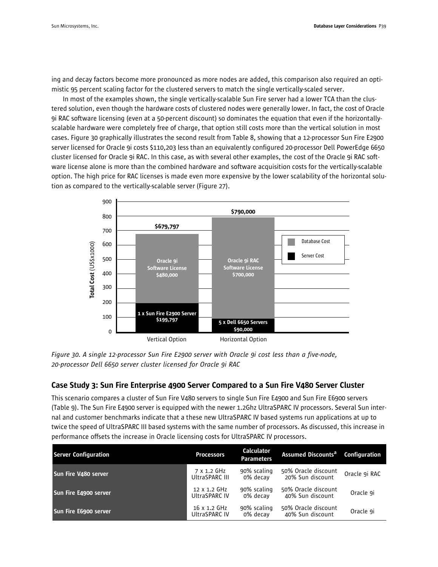ing and decay factors become more pronounced as more nodes are added, this comparison also required an optimistic 95 percent scaling factor for the clustered servers to match the single vertically-scaled server.

In most of the examples shown, the single vertically-scalable Sun Fire server had a lower TCA than the clustered solution, even though the hardware costs of clustered nodes were generally lower. In fact, the cost of Oracle 9i RAC software licensing (even at a 50-percent discount) so dominates the equation that even if the horizontallyscalable hardware were completely free of charge, that option still costs more than the vertical solution in most cases. Figure 30 graphically illustrates the second result from Table 8, showing that a 12-processor Sun Fire E2900 server licensed for Oracle 9i costs \$110,203 less than an equivalently configured 20-processor Dell PowerEdge 6650 cluster licensed for Oracle 9i RAC. In this case, as with several other examples, the cost of the Oracle 9i RAC software license alone is more than the combined hardware and software acquisition costs for the vertically-scalable option. The high price for RAC licenses is made even more expensive by the lower scalability of the horizontal solution as compared to the vertically-scalable server (Figure 27).





#### Case Study 3: Sun Fire Enterprise 4900 Server Compared to a Sun Fire V480 Server Cluster

This scenario compares a cluster of Sun Fire V480 servers to single Sun Fire E4900 and Sun Fire E6900 servers (Table 9). The Sun Fire E4900 server is equipped with the newer 1.2Ghz UltraSPARC IV processors. Several Sun internal and customer benchmarks indicate that a these new UltraSPARC IV based systems run applications at up to twice the speed of UltraSPARC III based systems with the same number of processors. As discussed, this increase in performance offsets the increase in Oracle licensing costs for UltraSPARC IV processors.

| <b>Server Configuration</b> | <b>Processors</b>             | <b>Calculator</b><br><b>Parameters</b> | <b>Assumed Discounts<sup>a</sup></b>    | Configuration |
|-----------------------------|-------------------------------|----------------------------------------|-----------------------------------------|---------------|
| Sun Fire V480 server        | 7 x 1.2 GHz<br>UltraSPARC III | 90% scaling<br>0% decav                | 50% Oracle discount<br>20% Sun discount | Oracle 9i RAC |
| Sun Fire E4900 server       | 12 x 1.2 GHz<br>UltraSPARC IV | 90% scaling<br>0% decav                | 50% Oracle discount<br>40% Sun discount | Oracle 9i     |
| Sun Fire E6900 server       | 16 x 1.2 GHz<br>UltraSPARC IV | 90% scaling<br>0% decav                | 50% Oracle discount<br>40% Sun discount | Oracle 9i     |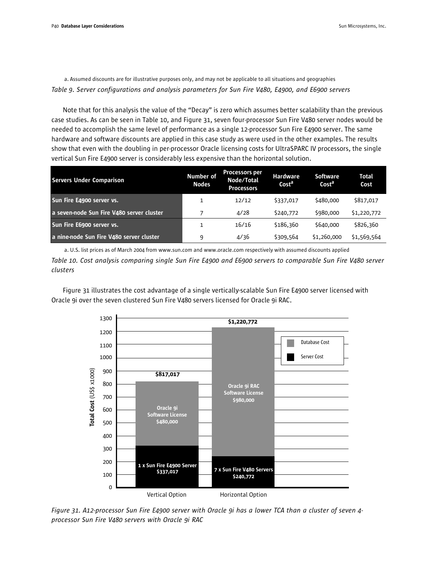a. Assumed discounts are for illustrative purposes only, and may not be applicable to all situations and geographies *Table 9. Server configurations and analysis parameters for Sun Fire V480, E4900, and E6900 servers*

Note that for this analysis the value of the "Decay" is zero which assumes better scalability than the previous case studies. As can be seen in Table 10, and Figure 31, seven four-processor Sun Fire V480 server nodes would be needed to accomplish the same level of performance as a single 12-processor Sun Fire E4900 server. The same hardware and software discounts are applied in this case study as were used in the other examples. The results show that even with the doubling in per-processor Oracle licensing costs for UltraSPARC IV processors, the single vertical Sun Fire E4900 server is considerably less expensive than the horizontal solution.

| <b>Servers Under Comparison</b>           | <b>Number of</b><br><b>Nodes</b> | <b>Processors per</b><br>Node/Total<br><b>Processors</b> | Hardware<br>Cost <sup>a</sup> | <b>Software</b><br>Cost <sup>a</sup> | <b>Total</b><br>Cost |
|-------------------------------------------|----------------------------------|----------------------------------------------------------|-------------------------------|--------------------------------------|----------------------|
| Sun Fire E4900 server vs.                 |                                  | 12/12                                                    | \$337,017                     | \$480,000                            | \$817,017            |
| a seven-node Sun Fire V480 server cluster |                                  | 4/28                                                     | \$240,772                     | \$980,000                            | \$1,220,772          |
| Sun Fire E6900 server vs.                 |                                  | 16/16                                                    | \$186,360                     | \$640,000                            | \$826,360            |
| a nine-node Sun Fire V480 server cluster  | 9                                | 4/36                                                     | \$309,564                     | \$1,260,000                          | \$1,569,564          |

a. U.S. list prices as of March 2004 from www.sun.com and www.oracle.com respectively with assumed discounts applied

*Table 10. Cost analysis comparing single Sun Fire E4900 and E6900 servers to comparable Sun Fire V480 server clusters*

Figure 31 illustrates the cost advantage of a single vertically-scalable Sun Fire E4900 server licensed with Oracle 9i over the seven clustered Sun Fire V480 servers licensed for Oracle 9i RAC.



*Figure 31. A12-processor Sun Fire E4900 server with Oracle 9i has a lower TCA than a cluster of seven 4 processor Sun Fire V480 servers with Oracle 9i RAC*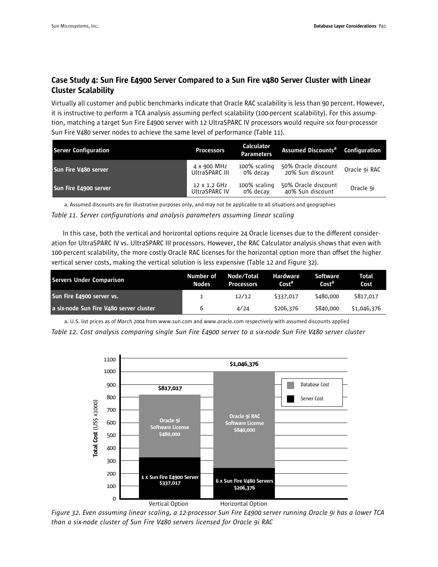## Case Study 4: Sun Fire E4900 Server Compared to a Sun Fire v480 Server Cluster with Linear Cluster Scalability

Virtually all customer and public benchmarks indicate that Oracle RAC scalability is less than 90 percent. However, it is instructive to perform a TCA analysis assuming perfect scalability (100-percent scalability). For this assumption, matching a target Sun Fire E4900 server with 12 UltraSPARC IV processors would require six four-processor Sun Fire V480 server nodes to achieve the same level of performance (Table 11).

| <b>Server Configuration</b> | <b>Processors</b>             | Calculator<br><b>Parameters</b> | Assumed Discounts <sup>a</sup>          | <b>Configuration</b> |
|-----------------------------|-------------------------------|---------------------------------|-----------------------------------------|----------------------|
| Sun Fire V480 server        | 4 x 900 MHz<br>UltraSPARC III | 100% scaling<br>0% decav        | 50% Oracle discount<br>20% Sun discount | Oracle 9i RAC        |
| Sun Fire E4900 server       | 12 x 1.2 GHz<br>UltraSPARC IV | 100% scaling<br>0% decav        | 50% Oracle discount<br>40% Sun discount | Oracle 9i            |

a. Assumed discounts are for illustrative purposes only, and may not be applicable to all situations and geographies

*Table 11. Server configurations and analysis parameters assuming linear scaling*

In this case, both the vertical and horizontal options require 24 Oracle licenses due to the different consideration for UltraSPARC IV vs. UltraSPARC III processors. However, the RAC Calculator analysis shows that even with 100-percent scalability, the more costly Oracle RAC licenses for the horizontal option more than offset the higher vertical server costs, making the vertical solution is less expensive (Table 12 and Figure 32).

| <b>Servers Under Comparison</b>         | Number of<br><b>Nodes</b> | Node/Total<br><b>Processors</b> | Hardware<br>Cost <sup>a</sup> | <b>Software</b><br>Cost <sup>a</sup> | Total<br>Cost |
|-----------------------------------------|---------------------------|---------------------------------|-------------------------------|--------------------------------------|---------------|
| Sun Fire E4900 server vs.               |                           | 12/12                           | \$337,017                     | \$480,000                            | \$817,017     |
| a six-node Sun Fire V480 server cluster |                           | 4/24                            | \$206,376                     | \$840,000                            | \$1,046,376   |

a. U.S. list prices as of March 2004 from www.sun.com and www.oracle.com respectively with assumed discounts applied

*Table 12. Cost analysis comparing single Sun Fire E4900 server to a six-node Sun Fire V480 server cluster*



*Figure 32. Even assuming linear scaling, a 12-processor Sun Fire E4900 server running Oracle 9i has a lower TCA than a six-node cluster of Sun Fire V480 servers licensed for Oracle 9i RAC*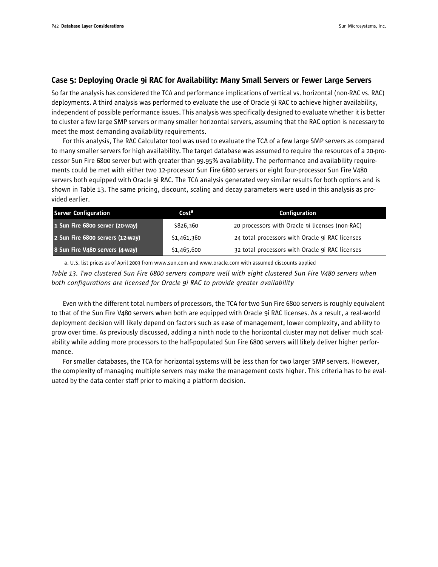#### Case 5: Deploying Oracle 9i RAC for Availability: Many Small Servers or Fewer Large Servers

So far the analysis has considered the TCA and performance implications of vertical vs. horizontal (non-RAC vs. RAC) deployments. A third analysis was performed to evaluate the use of Oracle 9i RAC to achieve higher availability, independent of possible performance issues. This analysis was specifically designed to evaluate whether it is better to cluster a few large SMP servers or many smaller horizontal servers, assuming that the RAC option is necessary to meet the most demanding availability requirements.

For this analysis, The RAC Calculator tool was used to evaluate the TCA of a few large SMP servers as compared to many smaller servers for high availability. The target database was assumed to require the resources of a 20-processor Sun Fire 6800 server but with greater than 99.95% availability. The performance and availability requirements could be met with either two 12-processor Sun Fire 6800 servers or eight four-processor Sun Fire V480 servers both equipped with Oracle 9i RAC. The TCA analysis generated very similar results for both options and is shown in Table 13. The same pricing, discount, scaling and decay parameters were used in this analysis as provided earlier.

| <b>Server Configuration</b>      | Cost <sup>a</sup> | Configuration                                   |
|----------------------------------|-------------------|-------------------------------------------------|
| 1 Sun Fire 6800 server (20-way)  | \$826,360         | 20 processors with Oracle 9i licenses (non-RAC) |
| 2 Sun Fire 6800 servers (12-way) | \$1,461,360       | 24 total processors with Oracle 9i RAC licenses |
| 8 Sun Fire V480 servers (4-way)  | \$1,465,600       | 32 total processors with Oracle 9i RAC licenses |

a. U.S. list prices as of April 2003 from www.sun.com and www.oracle.com with assumed discounts applied

*Table 13. Two clustered Sun Fire 6800 servers compare well with eight clustered Sun Fire V480 servers when both configurations are licensed for Oracle 9i RAC to provide greater availability*

Even with the different total numbers of processors, the TCA for two Sun Fire 6800 servers is roughly equivalent to that of the Sun Fire V480 servers when both are equipped with Oracle 9i RAC licenses. As a result, a real-world deployment decision will likely depend on factors such as ease of management, lower complexity, and ability to grow over time. As previously discussed, adding a ninth node to the horizontal cluster may not deliver much scalability while adding more processors to the half-populated Sun Fire 6800 servers will likely deliver higher performance.

For smaller databases, the TCA for horizontal systems will be less than for two larger SMP servers. However, the complexity of managing multiple servers may make the management costs higher. This criteria has to be evaluated by the data center staff prior to making a platform decision.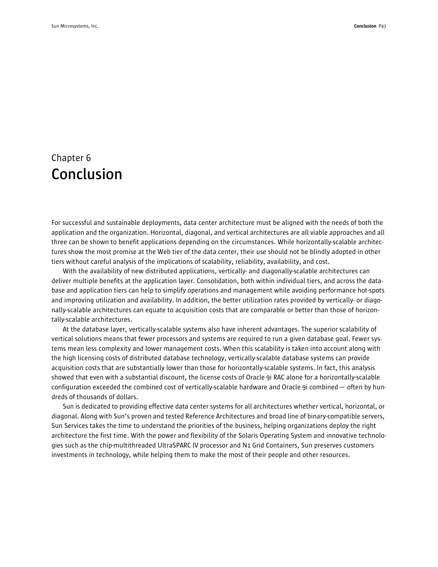# Chapter 6 **Conclusion**

For successful and sustainable deployments, data center architecture must be aligned with the needs of both the application and the organization. Horizontal, diagonal, and vertical architectures are all viable approaches and all three can be shown to benefit applications depending on the circumstances. While horizontally-scalable architectures show the most promise at the Web tier of the data center, their use should not be blindly adopted in other tiers without careful analysis of the implications of scalability, reliability, availability, and cost.

With the availability of new distributed applications, vertically- and diagonally-scalable architectures can deliver multiple benefits at the application layer. Consolidation, both within individual tiers, and across the database and application tiers can help to simplify operations and management while avoiding performance hot-spots and improving utilization and availability. In addition, the better utilization rates provided by vertically- or diagonally-scalable architectures can equate to acquisition costs that are comparable or better than those of horizontally-scalable architectures.

At the database layer, vertically-scalable systems also have inherent advantages. The superior scalability of vertical solutions means that fewer processors and systems are required to run a given database goal. Fewer systems mean less complexity and lower management costs. When this scalability is taken into account along with the high licensing costs of distributed database technology, vertically-scalable database systems can provide acquisition costs that are substantially lower than those for horizontally-scalable systems. In fact, this analysis showed that even with a substantial discount, the license costs of Oracle 9i RAC alone for a horizontally-scalable configuration exceeded the combined cost of vertically-scalable hardware and Oracle 9i combined— often by hundreds of thousands of dollars.

Sun is dedicated to providing effective data center systems for all architectures whether vertical, horizontal, or diagonal. Along with Sun's proven and tested Reference Architectures and broad line of binary-compatible servers, Sun Services takes the time to understand the priorities of the business, helping organizations deploy the right architecture the first time. With the power and flexibility of the Solaris Operating System and innovative technologies such as the chip-multithreaded UltraSPARC IV processor and N1 Grid Containers, Sun preserves customers investments in technology, while helping them to make the most of their people and other resources.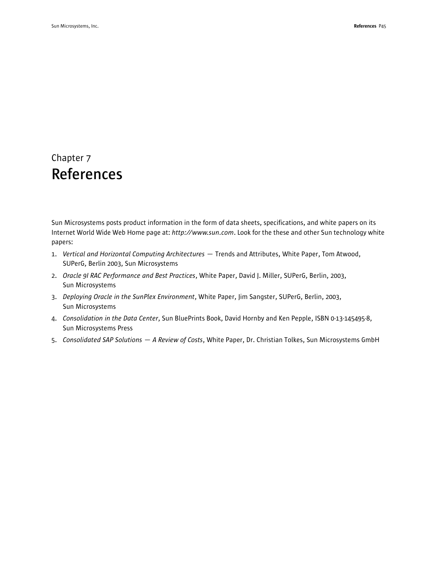## Chapter 7 **References**

Sun Microsystems posts product information in the form of data sheets, specifications, and white papers on its Internet World Wide Web Home page at: *http://www.sun.com*. Look for the these and other Sun technology white papers:

- 1. *Vertical and Horizontal Computing Architectures* Trends and Attributes, White Paper, Tom Atwood, SUPerG, Berlin 2003, Sun Microsystems
- 2. *Oracle 9I RAC Performance and Best Practices*, White Paper, David J. Miller, SUPerG, Berlin, 2003, Sun Microsystems
- 3. *Deploying Oracle in the SunPlex Environment*, White Paper, Jim Sangster, SUPerG, Berlin, 2003, Sun Microsystems
- 4. *Consolidation in the Data Center*, Sun BluePrints Book, David Hornby and Ken Pepple, ISBN 0-13-145495-8, Sun Microsystems Press
- 5. *Consolidated SAP Solutions A Review of Costs*, White Paper, Dr. Christian Tolkes, Sun Microsystems GmbH